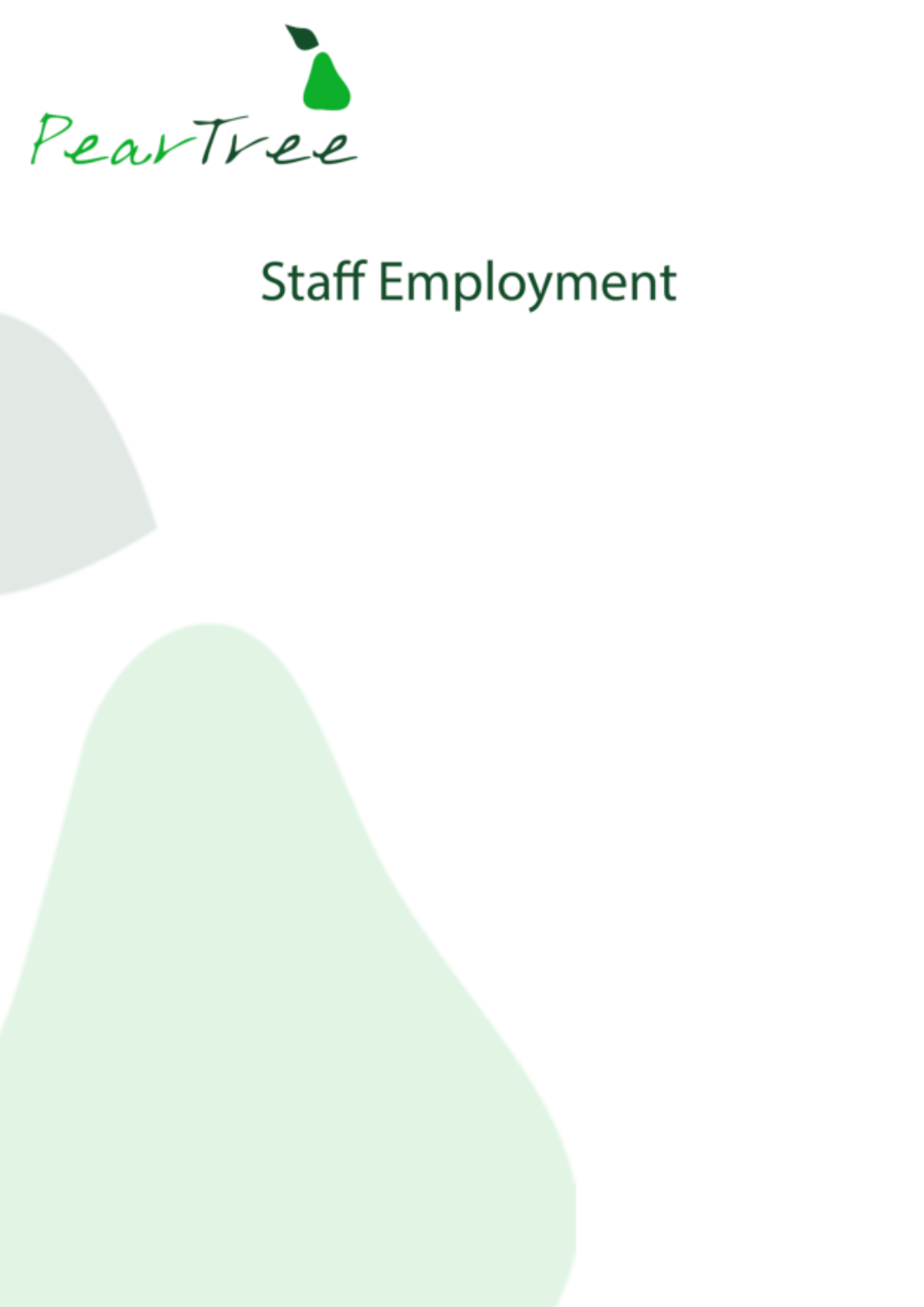

# **Staff Employment**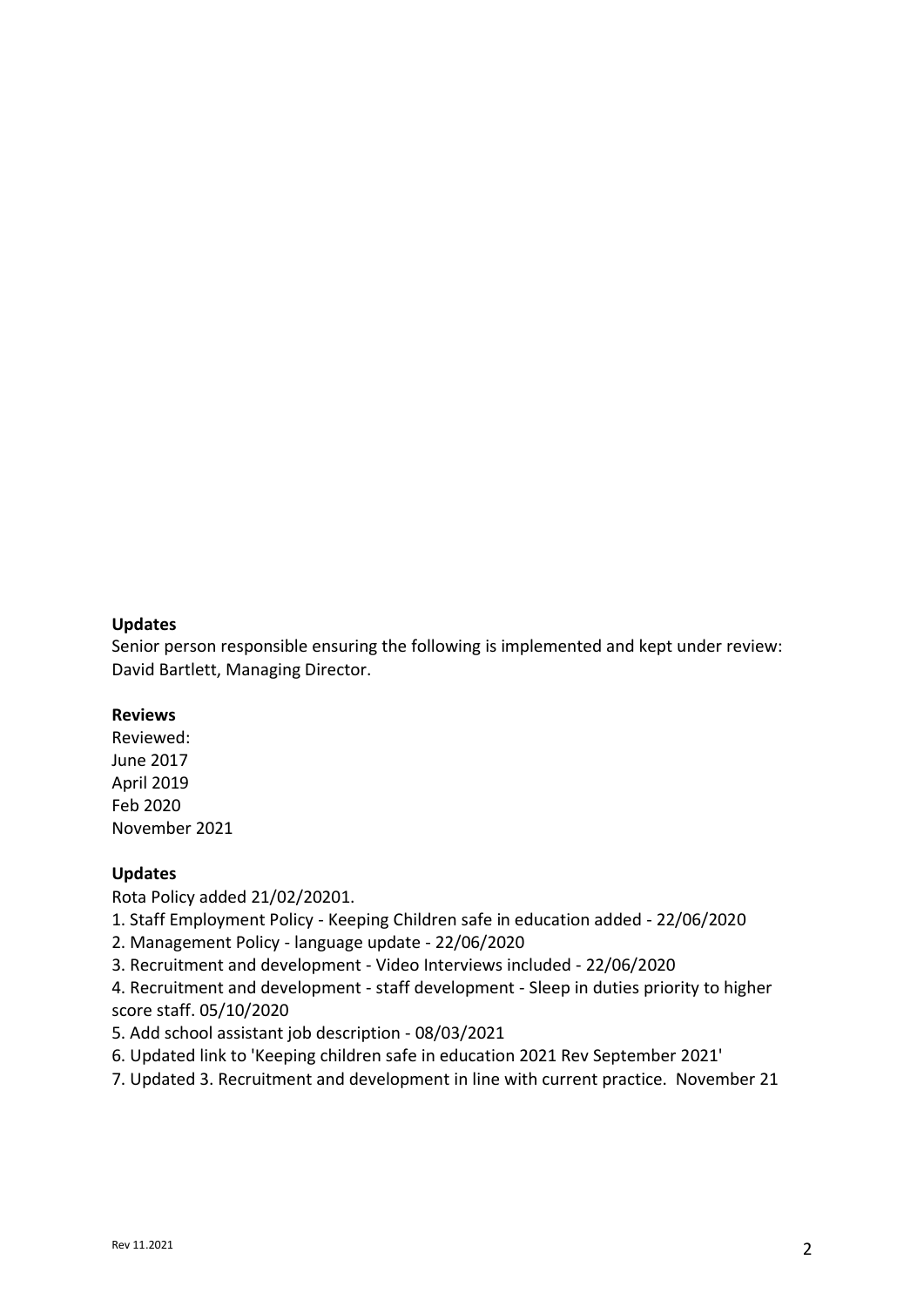#### **Updates**

Senior person responsible ensuring the following is implemented and kept under review: David Bartlett, Managing Director.

#### **Reviews**

Reviewed: June 2017 April 2019 Feb 2020 November 2021

#### **Updates**

Rota Policy added 21/02/20201.

- 1. Staff Employment Policy Keeping Children safe in education added 22/06/2020
- 2. Management Policy language update 22/06/2020
- 3. Recruitment and development Video Interviews included 22/06/2020

4. Recruitment and development - staff development - Sleep in duties priority to higher score staff. 05/10/2020

- 5. Add school assistant job description 08/03/2021
- 6. Updated link to 'Keeping children safe in education 2021 Rev September 2021'
- 7. Updated 3. Recruitment and development in line with current practice. November 21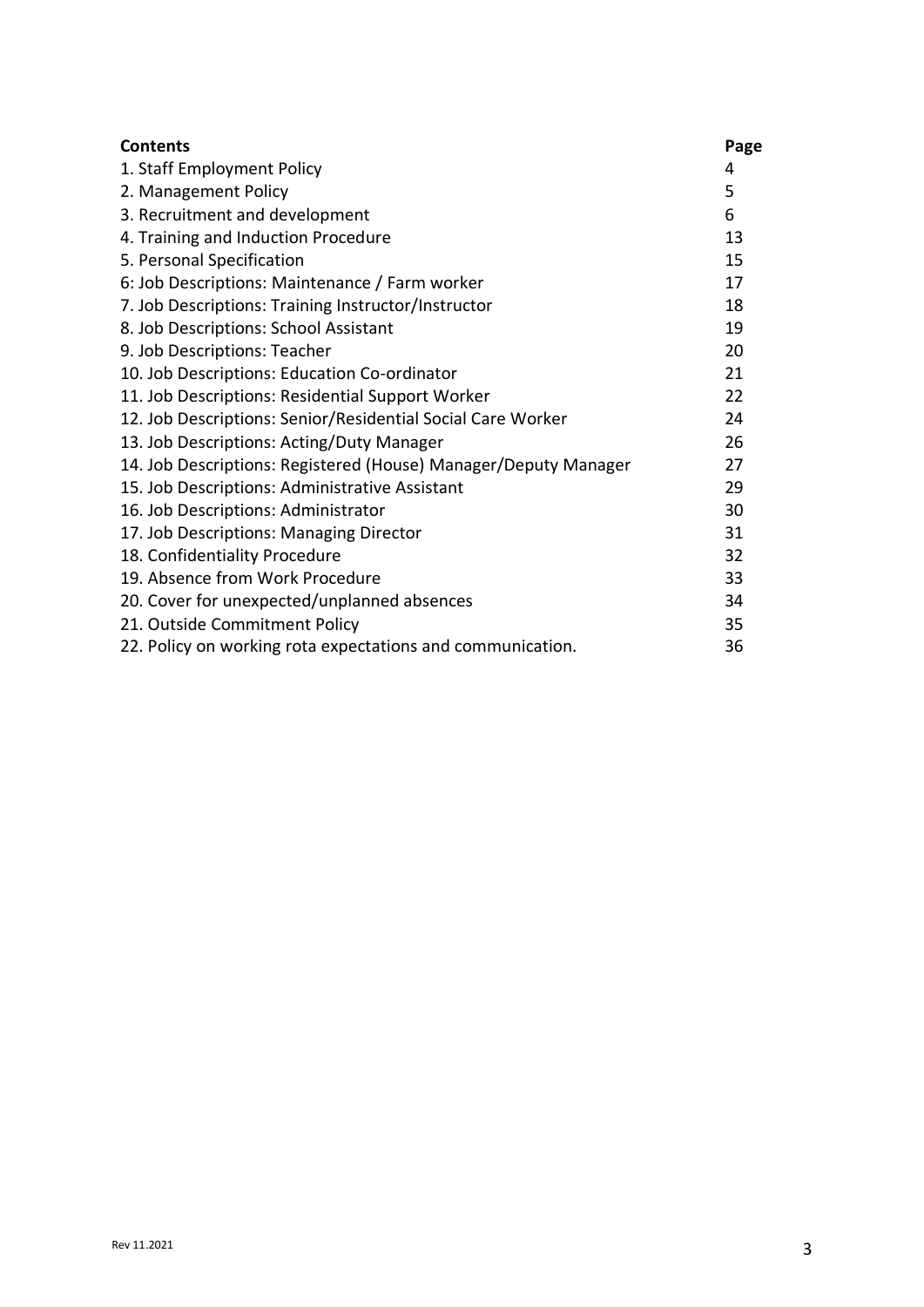| <b>Contents</b>                                                 | Page |
|-----------------------------------------------------------------|------|
| 1. Staff Employment Policy                                      | 4    |
| 2. Management Policy                                            | 5    |
| 3. Recruitment and development                                  | 6    |
| 4. Training and Induction Procedure                             | 13   |
| 5. Personal Specification                                       | 15   |
| 6: Job Descriptions: Maintenance / Farm worker                  | 17   |
| 7. Job Descriptions: Training Instructor/Instructor             | 18   |
| 8. Job Descriptions: School Assistant                           | 19   |
| 9. Job Descriptions: Teacher                                    | 20   |
| 10. Job Descriptions: Education Co-ordinator                    | 21   |
| 11. Job Descriptions: Residential Support Worker                | 22   |
| 12. Job Descriptions: Senior/Residential Social Care Worker     | 24   |
| 13. Job Descriptions: Acting/Duty Manager                       | 26   |
| 14. Job Descriptions: Registered (House) Manager/Deputy Manager | 27   |
| 15. Job Descriptions: Administrative Assistant                  | 29   |
| 16. Job Descriptions: Administrator                             | 30   |
| 17. Job Descriptions: Managing Director                         | 31   |
| 18. Confidentiality Procedure                                   | 32   |
| 19. Absence from Work Procedure                                 | 33   |
| 20. Cover for unexpected/unplanned absences                     | 34   |
| 21. Outside Commitment Policy                                   | 35   |
| 22. Policy on working rota expectations and communication.      | 36   |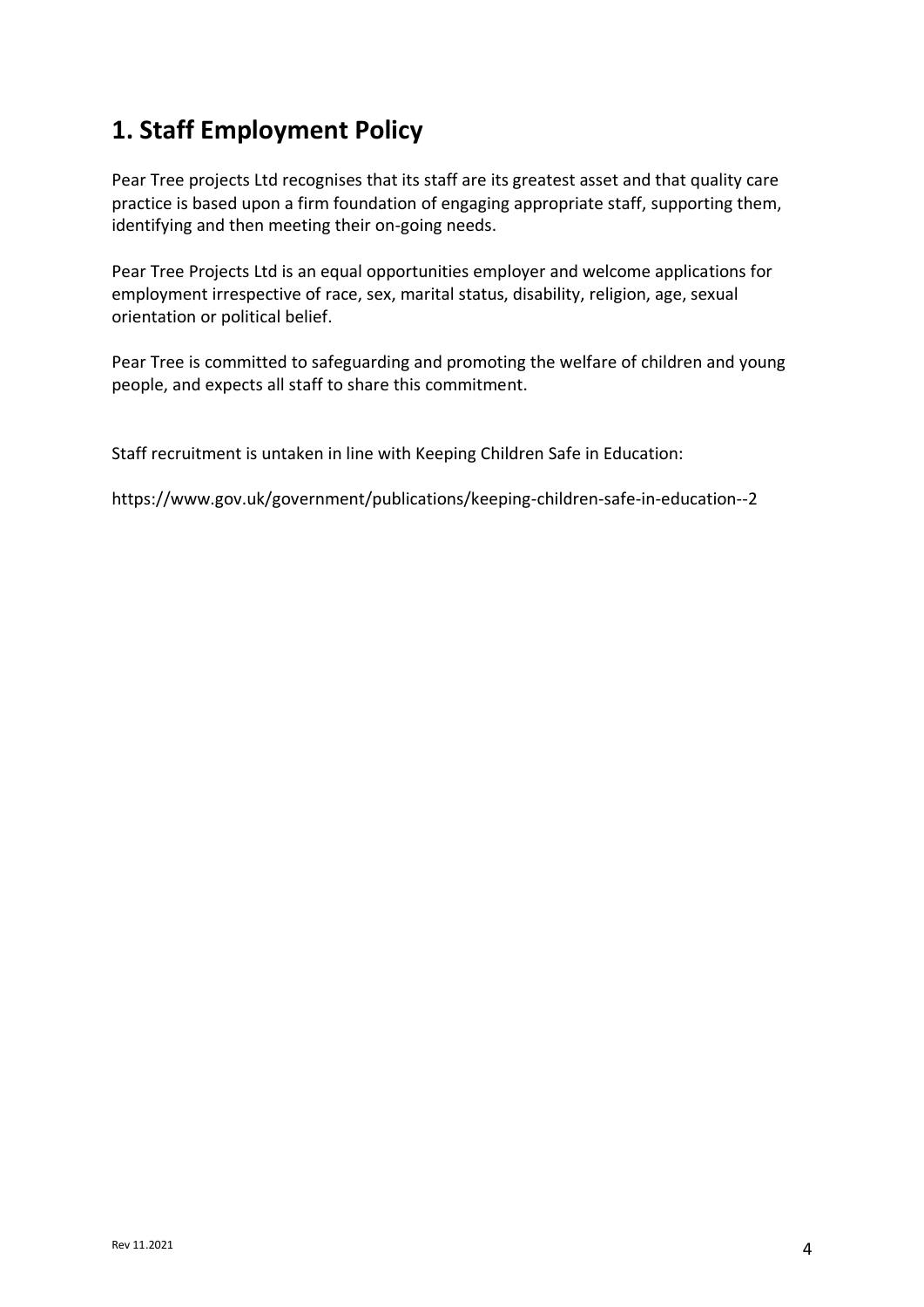# **1. Staff Employment Policy**

Pear Tree projects Ltd recognises that its staff are its greatest asset and that quality care practice is based upon a firm foundation of engaging appropriate staff, supporting them, identifying and then meeting their on-going needs.

Pear Tree Projects Ltd is an equal opportunities employer and welcome applications for employment irrespective of race, sex, marital status, disability, religion, age, sexual orientation or political belief.

Pear Tree is committed to safeguarding and promoting the welfare of children and young people, and expects all staff to share this commitment.

Staff recruitment is untaken in line with Keeping Children Safe in Education:

https://www.gov.uk/government/publications/keeping-children-safe-in-education--2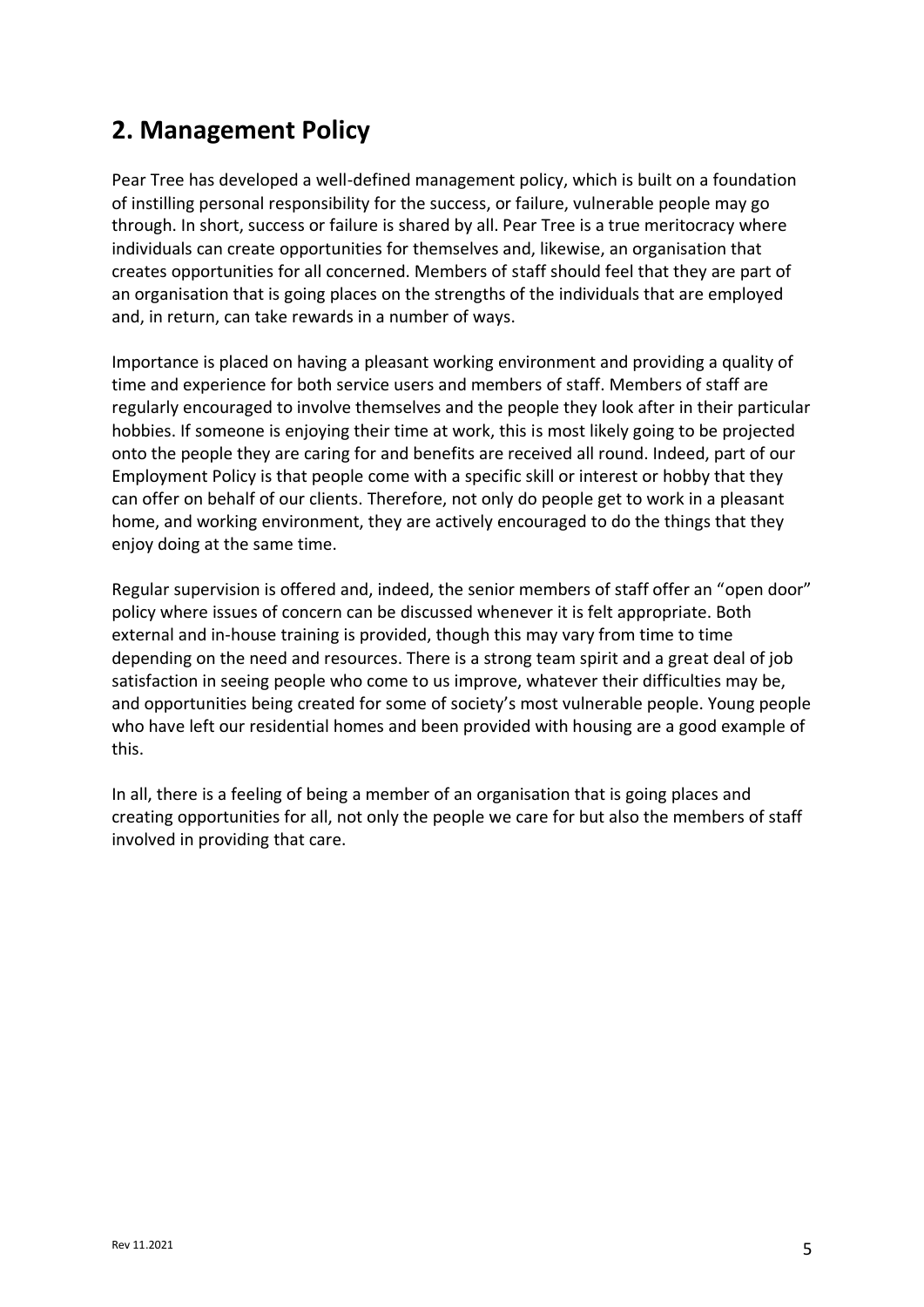### **2. Management Policy**

Pear Tree has developed a well-defined management policy, which is built on a foundation of instilling personal responsibility for the success, or failure, vulnerable people may go through. In short, success or failure is shared by all. Pear Tree is a true meritocracy where individuals can create opportunities for themselves and, likewise, an organisation that creates opportunities for all concerned. Members of staff should feel that they are part of an organisation that is going places on the strengths of the individuals that are employed and, in return, can take rewards in a number of ways.

Importance is placed on having a pleasant working environment and providing a quality of time and experience for both service users and members of staff. Members of staff are regularly encouraged to involve themselves and the people they look after in their particular hobbies. If someone is enjoying their time at work, this is most likely going to be projected onto the people they are caring for and benefits are received all round. Indeed, part of our Employment Policy is that people come with a specific skill or interest or hobby that they can offer on behalf of our clients. Therefore, not only do people get to work in a pleasant home, and working environment, they are actively encouraged to do the things that they enjoy doing at the same time.

Regular supervision is offered and, indeed, the senior members of staff offer an "open door" policy where issues of concern can be discussed whenever it is felt appropriate. Both external and in-house training is provided, though this may vary from time to time depending on the need and resources. There is a strong team spirit and a great deal of job satisfaction in seeing people who come to us improve, whatever their difficulties may be, and opportunities being created for some of society's most vulnerable people. Young people who have left our residential homes and been provided with housing are a good example of this.

In all, there is a feeling of being a member of an organisation that is going places and creating opportunities for all, not only the people we care for but also the members of staff involved in providing that care.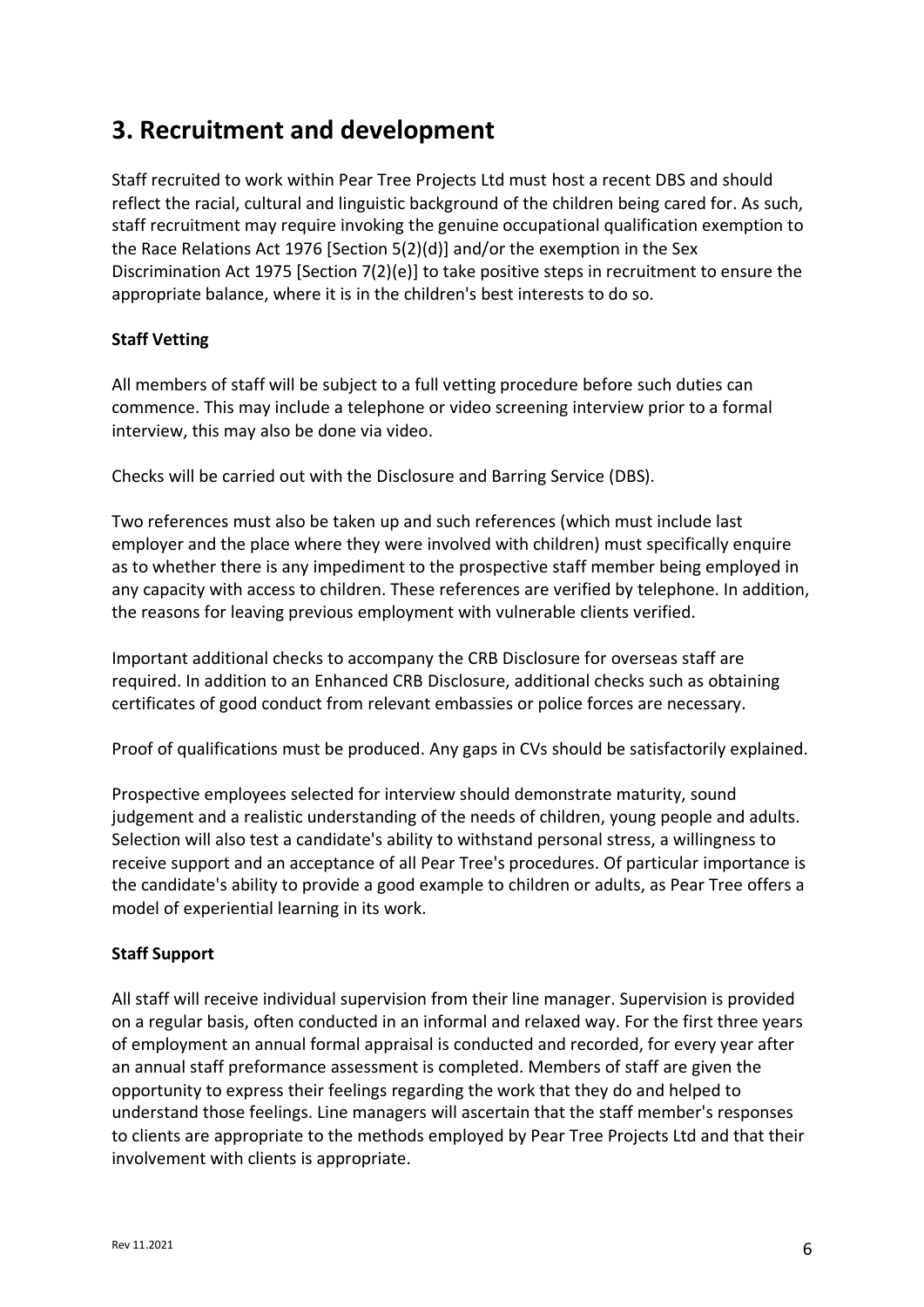### **3. Recruitment and development**

Staff recruited to work within Pear Tree Projects Ltd must host a recent DBS and should reflect the racial, cultural and linguistic background of the children being cared for. As such, staff recruitment may require invoking the genuine occupational qualification exemption to the Race Relations Act 1976 [Section 5(2)(d)] and/or the exemption in the Sex Discrimination Act 1975 [Section 7(2)(e)] to take positive steps in recruitment to ensure the appropriate balance, where it is in the children's best interests to do so.

### **Staff Vetting**

All members of staff will be subject to a full vetting procedure before such duties can commence. This may include a telephone or video screening interview prior to a formal interview, this may also be done via video.

Checks will be carried out with the Disclosure and Barring Service (DBS).

Two references must also be taken up and such references (which must include last employer and the place where they were involved with children) must specifically enquire as to whether there is any impediment to the prospective staff member being employed in any capacity with access to children. These references are verified by telephone. In addition, the reasons for leaving previous employment with vulnerable clients verified.

Important additional checks to accompany the CRB Disclosure for overseas staff are required. In addition to an Enhanced CRB Disclosure, additional checks such as obtaining certificates of good conduct from relevant embassies or police forces are necessary.

Proof of qualifications must be produced. Any gaps in CVs should be satisfactorily explained.

Prospective employees selected for interview should demonstrate maturity, sound judgement and a realistic understanding of the needs of children, young people and adults. Selection will also test a candidate's ability to withstand personal stress, a willingness to receive support and an acceptance of all Pear Tree's procedures. Of particular importance is the candidate's ability to provide a good example to children or adults, as Pear Tree offers a model of experiential learning in its work.

### **Staff Support**

All staff will receive individual supervision from their line manager. Supervision is provided on a regular basis, often conducted in an informal and relaxed way. For the first three years of employment an annual formal appraisal is conducted and recorded, for every year after an annual staff preformance assessment is completed. Members of staff are given the opportunity to express their feelings regarding the work that they do and helped to understand those feelings. Line managers will ascertain that the staff member's responses to clients are appropriate to the methods employed by Pear Tree Projects Ltd and that their involvement with clients is appropriate.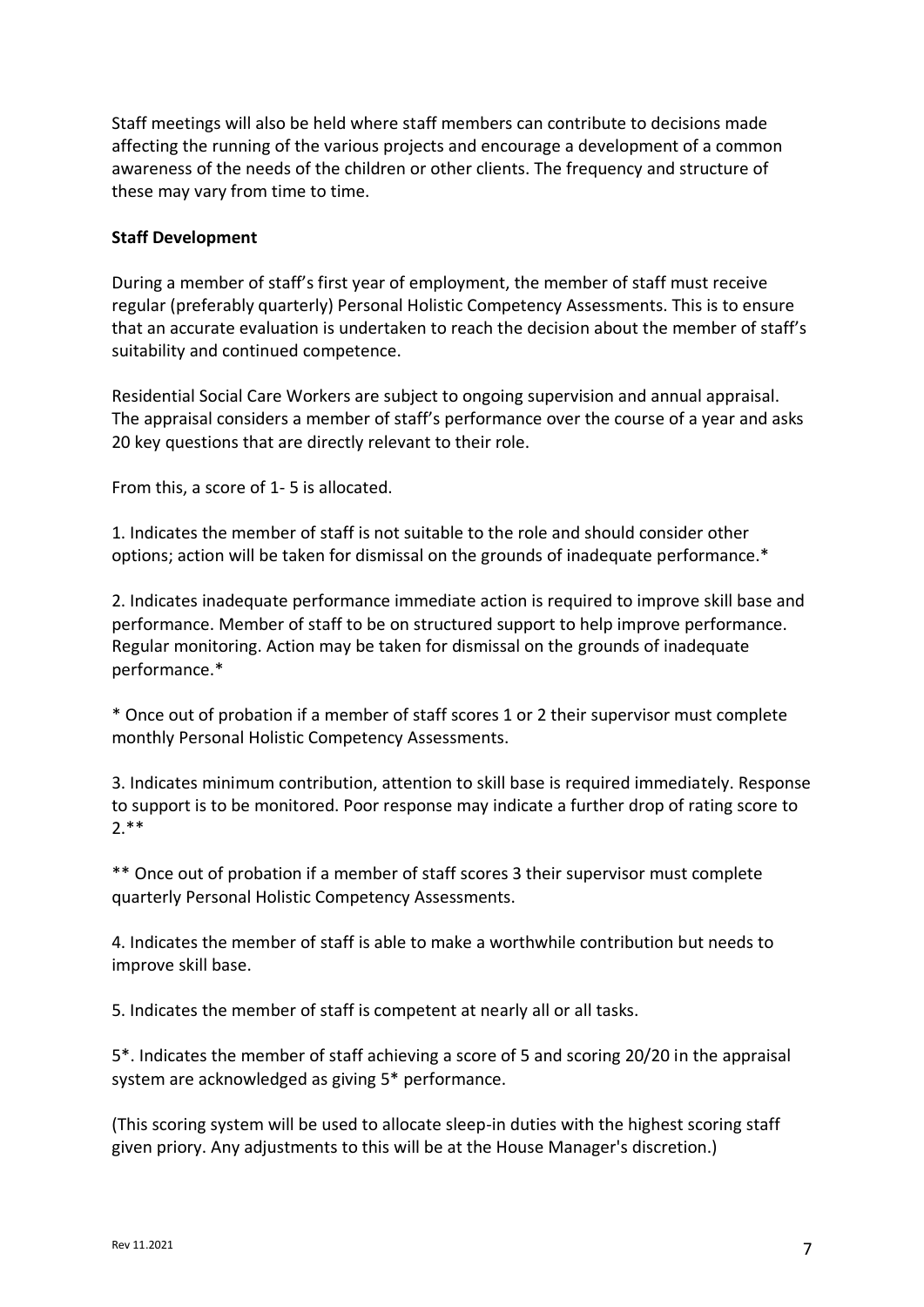Staff meetings will also be held where staff members can contribute to decisions made affecting the running of the various projects and encourage a development of a common awareness of the needs of the children or other clients. The frequency and structure of these may vary from time to time.

#### **Staff Development**

During a member of staff's first year of employment, the member of staff must receive regular (preferably quarterly) Personal Holistic Competency Assessments. This is to ensure that an accurate evaluation is undertaken to reach the decision about the member of staff's suitability and continued competence.

Residential Social Care Workers are subject to ongoing supervision and annual appraisal. The appraisal considers a member of staff's performance over the course of a year and asks 20 key questions that are directly relevant to their role.

From this, a score of 1- 5 is allocated.

1. Indicates the member of staff is not suitable to the role and should consider other options; action will be taken for dismissal on the grounds of inadequate performance.\*

2. Indicates inadequate performance immediate action is required to improve skill base and performance. Member of staff to be on structured support to help improve performance. Regular monitoring. Action may be taken for dismissal on the grounds of inadequate performance.\*

\* Once out of probation if a member of staff scores 1 or 2 their supervisor must complete monthly Personal Holistic Competency Assessments.

3. Indicates minimum contribution, attention to skill base is required immediately. Response to support is to be monitored. Poor response may indicate a further drop of rating score to 2.\*\*

\*\* Once out of probation if a member of staff scores 3 their supervisor must complete quarterly Personal Holistic Competency Assessments.

4. Indicates the member of staff is able to make a worthwhile contribution but needs to improve skill base.

5. Indicates the member of staff is competent at nearly all or all tasks.

5\*. Indicates the member of staff achieving a score of 5 and scoring 20/20 in the appraisal system are acknowledged as giving 5\* performance.

(This scoring system will be used to allocate sleep-in duties with the highest scoring staff given priory. Any adjustments to this will be at the House Manager's discretion.)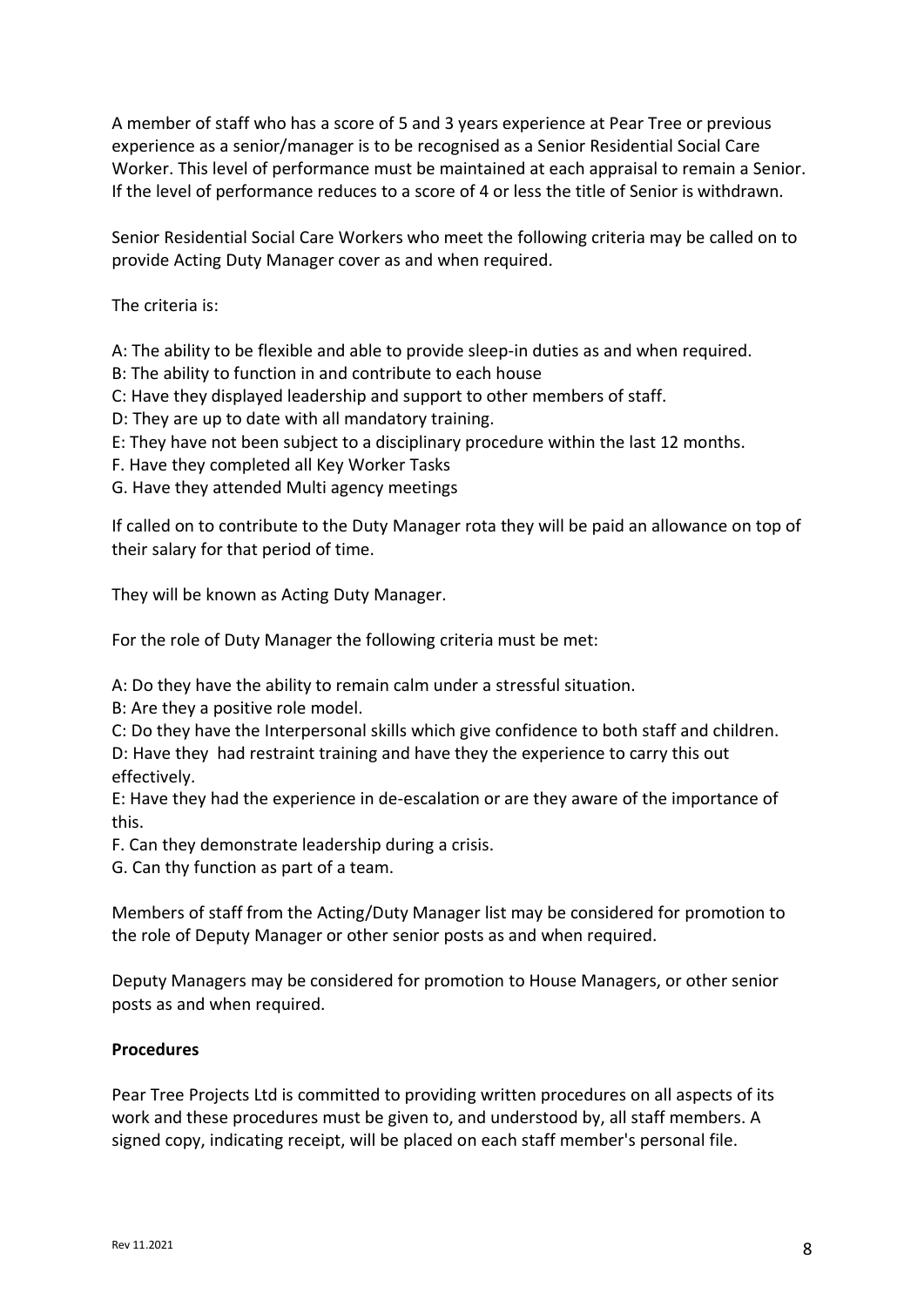A member of staff who has a score of 5 and 3 years experience at Pear Tree or previous experience as a senior/manager is to be recognised as a Senior Residential Social Care Worker. This level of performance must be maintained at each appraisal to remain a Senior. If the level of performance reduces to a score of 4 or less the title of Senior is withdrawn.

Senior Residential Social Care Workers who meet the following criteria may be called on to provide Acting Duty Manager cover as and when required.

The criteria is:

A: The ability to be flexible and able to provide sleep-in duties as and when required.

B: The ability to function in and contribute to each house

C: Have they displayed leadership and support to other members of staff.

D: They are up to date with all mandatory training.

E: They have not been subject to a disciplinary procedure within the last 12 months.

F. Have they completed all Key Worker Tasks

G. Have they attended Multi agency meetings

If called on to contribute to the Duty Manager rota they will be paid an allowance on top of their salary for that period of time.

They will be known as Acting Duty Manager.

For the role of Duty Manager the following criteria must be met:

A: Do they have the ability to remain calm under a stressful situation.

B: Are they a positive role model.

C: Do they have the Interpersonal skills which give confidence to both staff and children.

D: Have they had restraint training and have they the experience to carry this out effectively.

E: Have they had the experience in de-escalation or are they aware of the importance of this.

F. Can they demonstrate leadership during a crisis.

G. Can thy function as part of a team.

Members of staff from the Acting/Duty Manager list may be considered for promotion to the role of Deputy Manager or other senior posts as and when required.

Deputy Managers may be considered for promotion to House Managers, or other senior posts as and when required.

#### **Procedures**

Pear Tree Projects Ltd is committed to providing written procedures on all aspects of its work and these procedures must be given to, and understood by, all staff members. A signed copy, indicating receipt, will be placed on each staff member's personal file.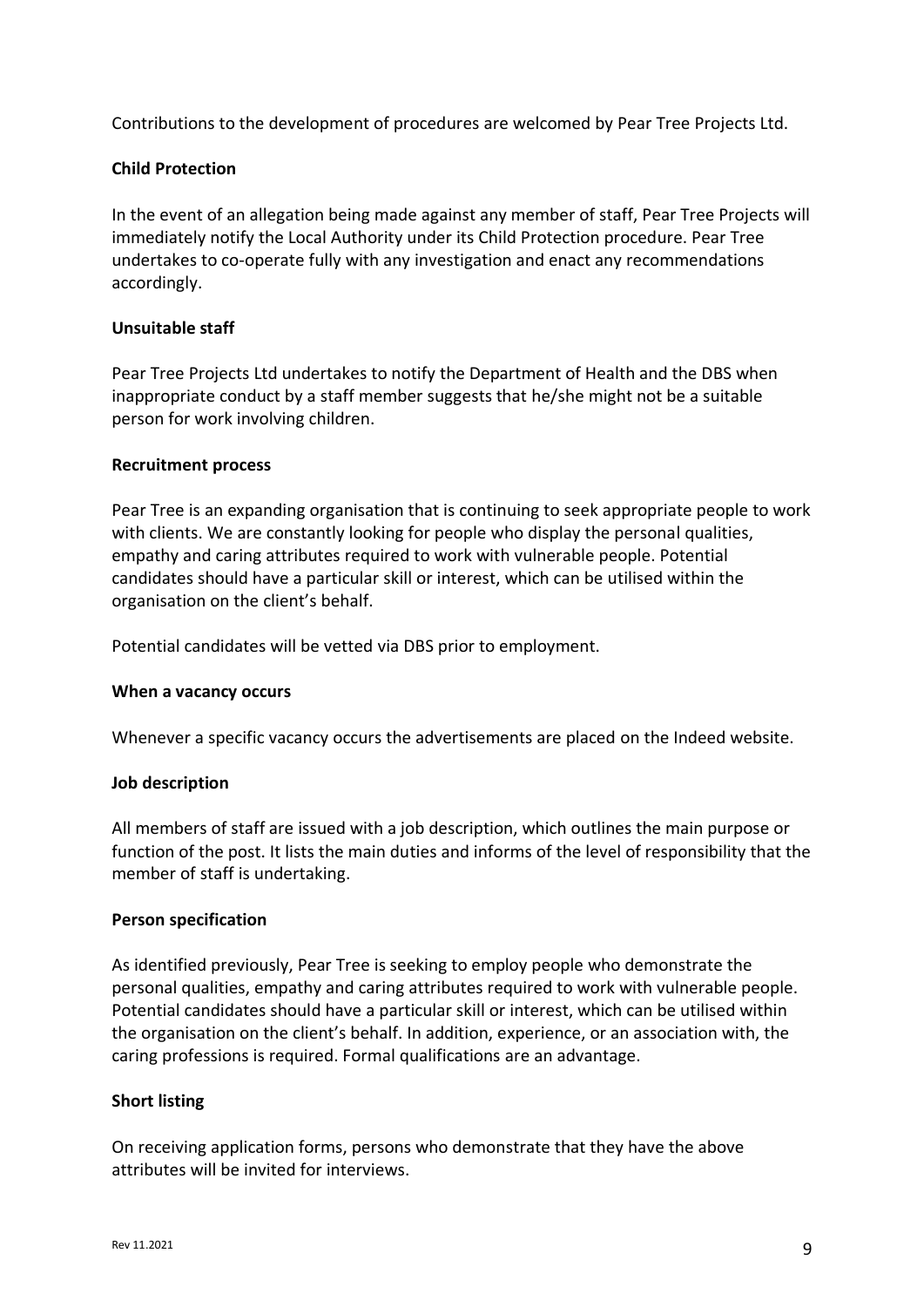Contributions to the development of procedures are welcomed by Pear Tree Projects Ltd.

#### **Child Protection**

In the event of an allegation being made against any member of staff, Pear Tree Projects will immediately notify the Local Authority under its Child Protection procedure. Pear Tree undertakes to co-operate fully with any investigation and enact any recommendations accordingly.

#### **Unsuitable staff**

Pear Tree Projects Ltd undertakes to notify the Department of Health and the DBS when inappropriate conduct by a staff member suggests that he/she might not be a suitable person for work involving children.

#### **Recruitment process**

Pear Tree is an expanding organisation that is continuing to seek appropriate people to work with clients. We are constantly looking for people who display the personal qualities, empathy and caring attributes required to work with vulnerable people. Potential candidates should have a particular skill or interest, which can be utilised within the organisation on the client's behalf.

Potential candidates will be vetted via DBS prior to employment.

#### **When a vacancy occurs**

Whenever a specific vacancy occurs the advertisements are placed on the Indeed website.

#### **Job description**

All members of staff are issued with a job description, which outlines the main purpose or function of the post. It lists the main duties and informs of the level of responsibility that the member of staff is undertaking.

#### **Person specification**

As identified previously, Pear Tree is seeking to employ people who demonstrate the personal qualities, empathy and caring attributes required to work with vulnerable people. Potential candidates should have a particular skill or interest, which can be utilised within the organisation on the client's behalf. In addition, experience, or an association with, the caring professions is required. Formal qualifications are an advantage.

#### **Short listing**

On receiving application forms, persons who demonstrate that they have the above attributes will be invited for interviews.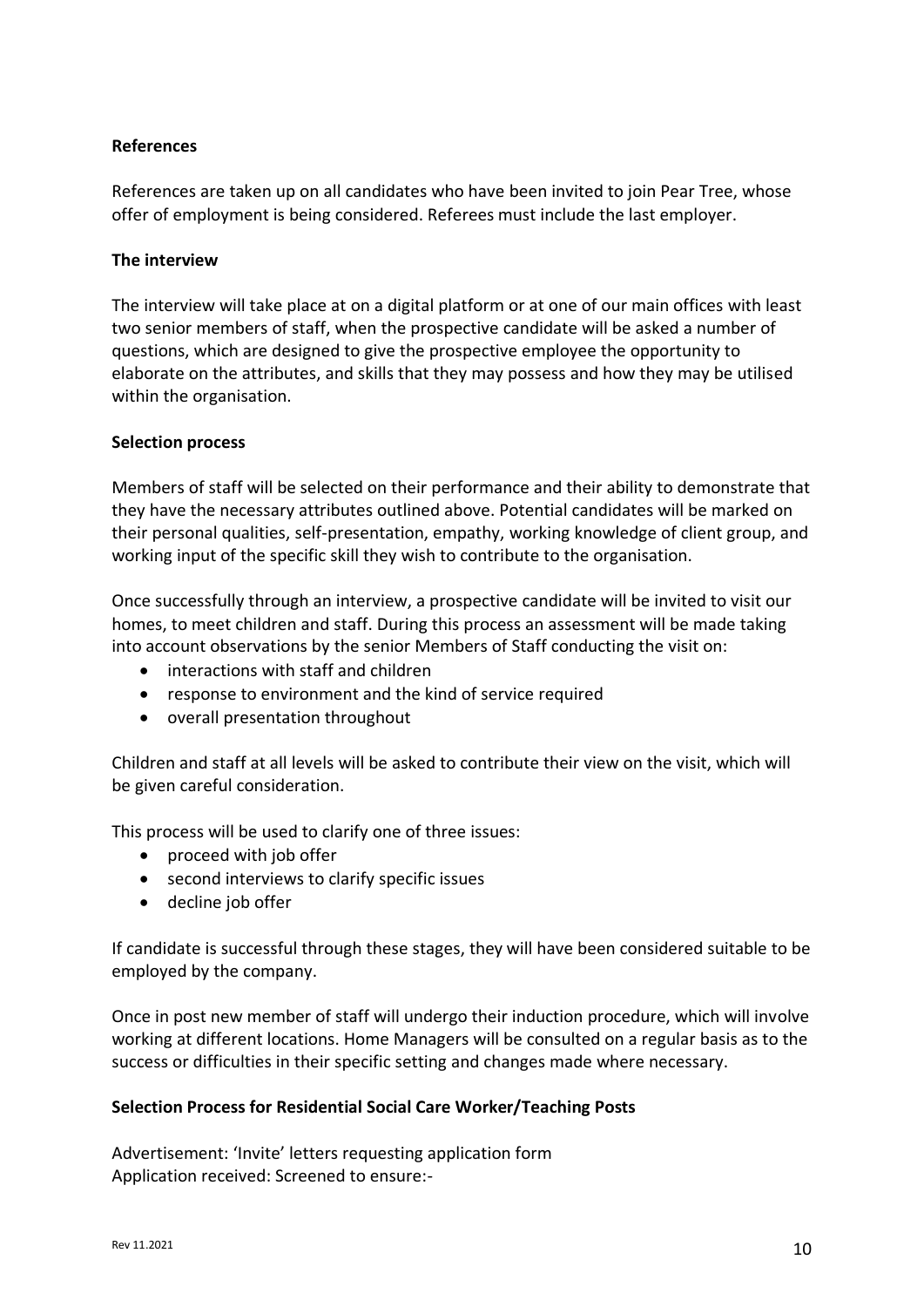#### **References**

References are taken up on all candidates who have been invited to join Pear Tree, whose offer of employment is being considered. Referees must include the last employer.

#### **The interview**

The interview will take place at on a digital platform or at one of our main offices with least two senior members of staff, when the prospective candidate will be asked a number of questions, which are designed to give the prospective employee the opportunity to elaborate on the attributes, and skills that they may possess and how they may be utilised within the organisation.

#### **Selection process**

Members of staff will be selected on their performance and their ability to demonstrate that they have the necessary attributes outlined above. Potential candidates will be marked on their personal qualities, self-presentation, empathy, working knowledge of client group, and working input of the specific skill they wish to contribute to the organisation.

Once successfully through an interview, a prospective candidate will be invited to visit our homes, to meet children and staff. During this process an assessment will be made taking into account observations by the senior Members of Staff conducting the visit on:

- interactions with staff and children
- response to environment and the kind of service required
- overall presentation throughout

Children and staff at all levels will be asked to contribute their view on the visit, which will be given careful consideration.

This process will be used to clarify one of three issues:

- proceed with job offer
- second interviews to clarify specific issues
- decline job offer

If candidate is successful through these stages, they will have been considered suitable to be employed by the company.

Once in post new member of staff will undergo their induction procedure, which will involve working at different locations. Home Managers will be consulted on a regular basis as to the success or difficulties in their specific setting and changes made where necessary.

#### **Selection Process for Residential Social Care Worker/Teaching Posts**

Advertisement: 'Invite' letters requesting application form Application received: Screened to ensure:-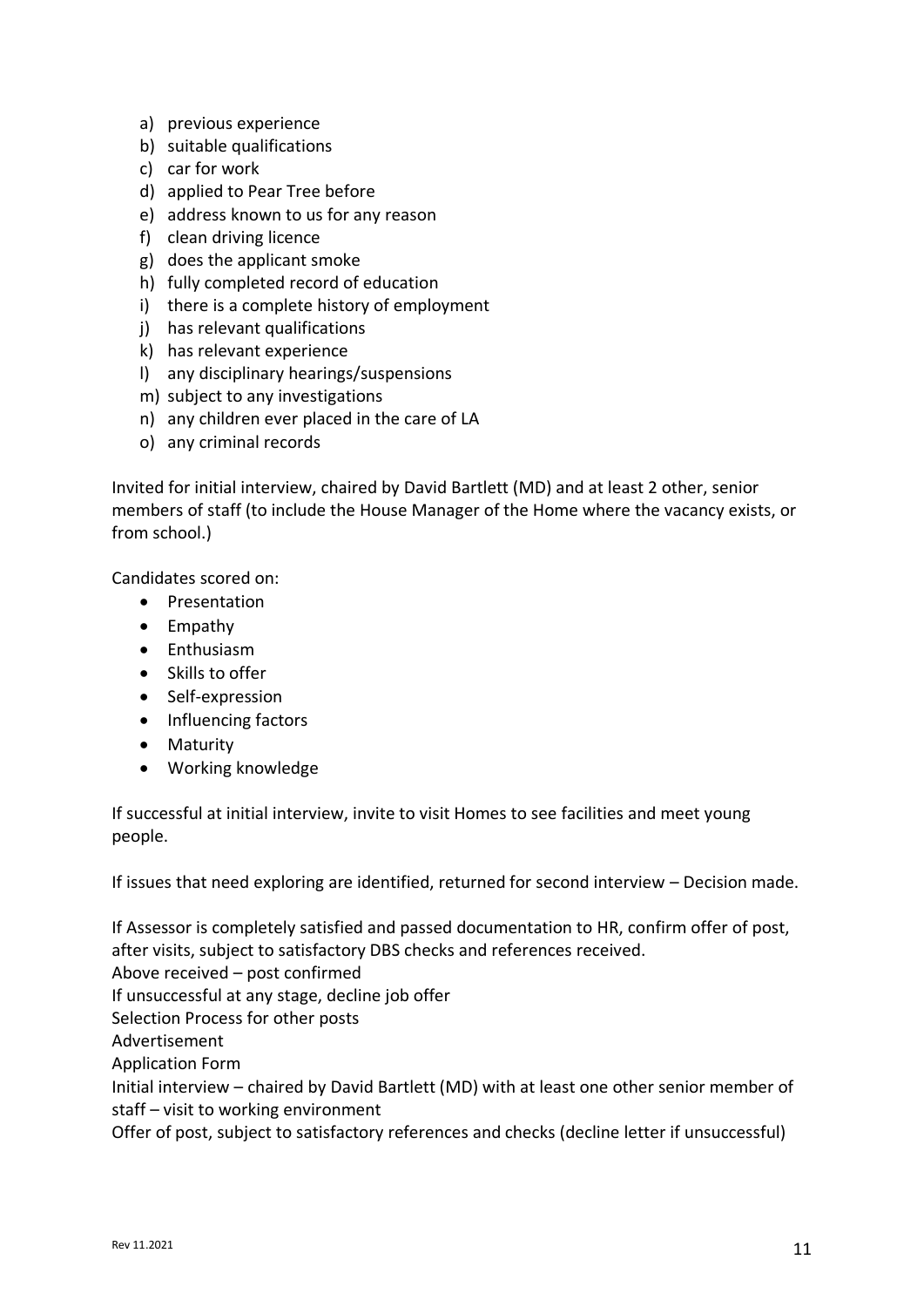- a) previous experience
- b) suitable qualifications
- c) car for work
- d) applied to Pear Tree before
- e) address known to us for any reason
- f) clean driving licence
- g) does the applicant smoke
- h) fully completed record of education
- i) there is a complete history of employment
- j) has relevant qualifications
- k) has relevant experience
- l) any disciplinary hearings/suspensions
- m) subject to any investigations
- n) any children ever placed in the care of LA
- o) any criminal records

Invited for initial interview, chaired by David Bartlett (MD) and at least 2 other, senior members of staff (to include the House Manager of the Home where the vacancy exists, or from school.)

Candidates scored on:

- Presentation
- Empathy
- Enthusiasm
- Skills to offer
- Self-expression
- Influencing factors
- Maturity
- Working knowledge

If successful at initial interview, invite to visit Homes to see facilities and meet young people.

If issues that need exploring are identified, returned for second interview – Decision made.

If Assessor is completely satisfied and passed documentation to HR, confirm offer of post, after visits, subject to satisfactory DBS checks and references received. Above received – post confirmed If unsuccessful at any stage, decline job offer Selection Process for other posts Advertisement Application Form Initial interview – chaired by David Bartlett (MD) with at least one other senior member of staff – visit to working environment Offer of post, subject to satisfactory references and checks (decline letter if unsuccessful)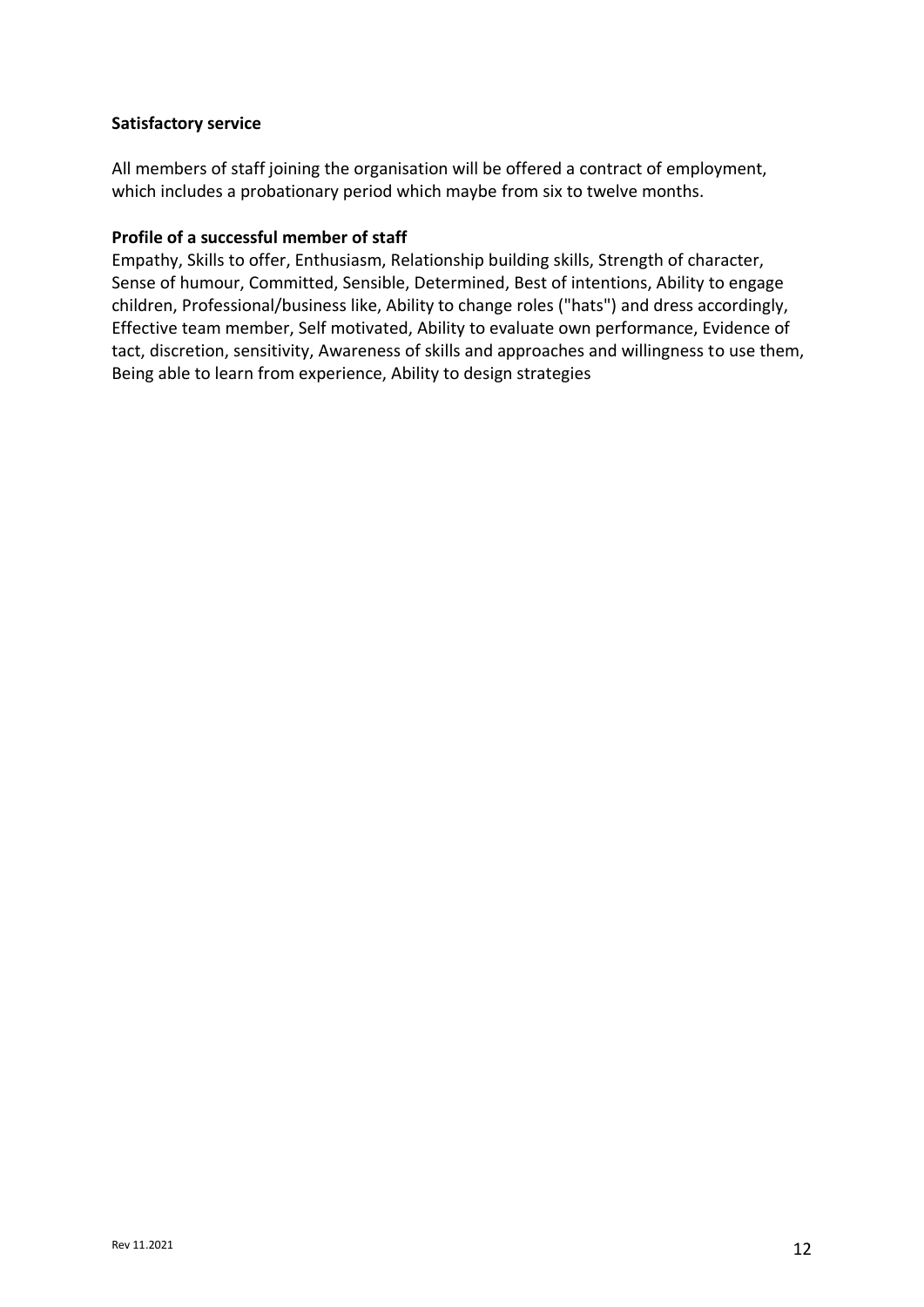#### **Satisfactory service**

All members of staff joining the organisation will be offered a contract of employment, which includes a probationary period which maybe from six to twelve months.

#### **Profile of a successful member of staff**

Empathy, Skills to offer, Enthusiasm, Relationship building skills, Strength of character, Sense of humour, Committed, Sensible, Determined, Best of intentions, Ability to engage children, Professional/business like, Ability to change roles ("hats") and dress accordingly, Effective team member, Self motivated, Ability to evaluate own performance, Evidence of tact, discretion, sensitivity, Awareness of skills and approaches and willingness to use them, Being able to learn from experience, Ability to design strategies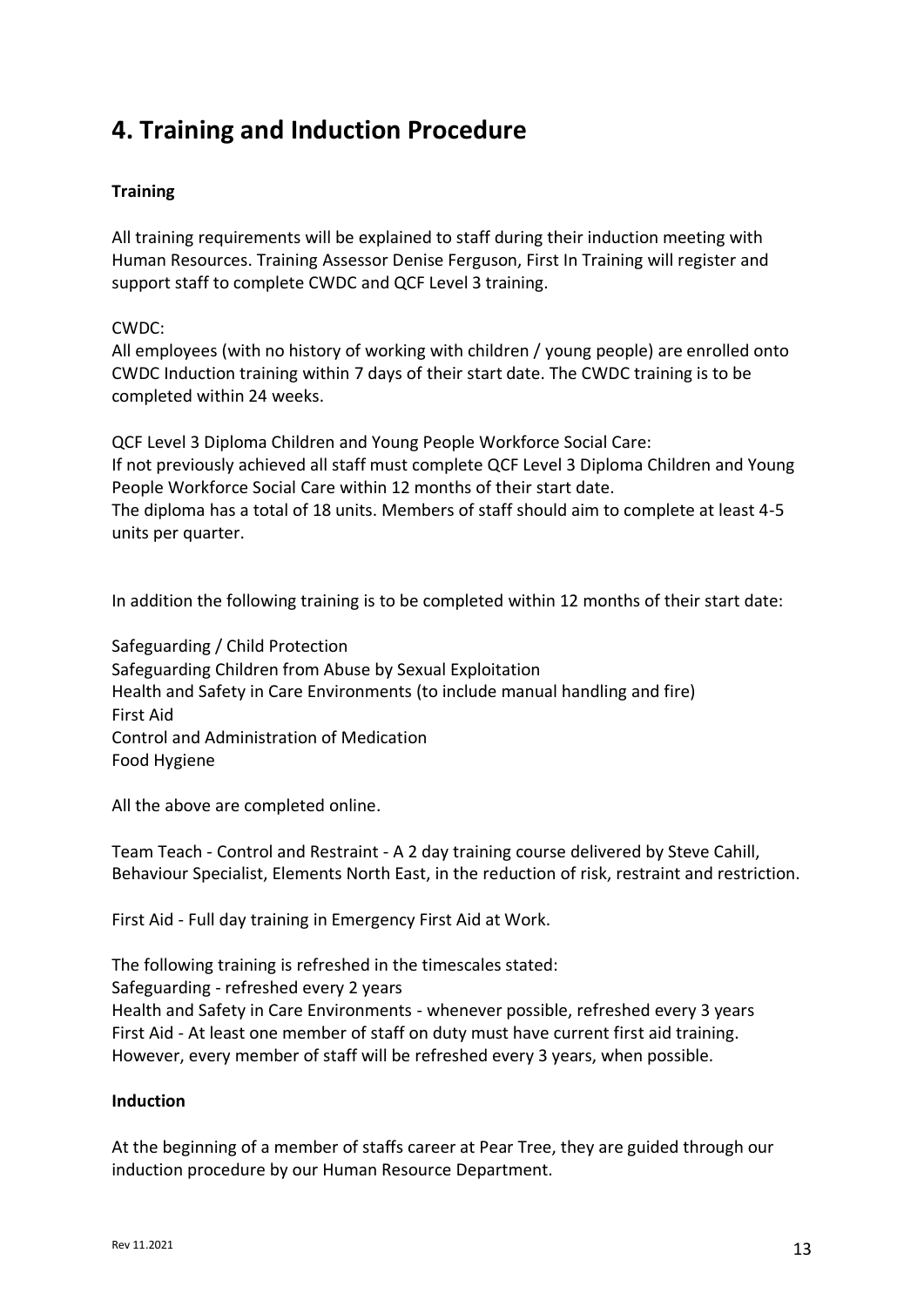### **4. Training and Induction Procedure**

### **Training**

All training requirements will be explained to staff during their induction meeting with Human Resources. Training Assessor Denise Ferguson, First In Training will register and support staff to complete CWDC and QCF Level 3 training.

#### CWDC:

All employees (with no history of working with children / young people) are enrolled onto CWDC Induction training within 7 days of their start date. The CWDC training is to be completed within 24 weeks.

QCF Level 3 Diploma Children and Young People Workforce Social Care: If not previously achieved all staff must complete QCF Level 3 Diploma Children and Young People Workforce Social Care within 12 months of their start date. The diploma has a total of 18 units. Members of staff should aim to complete at least 4-5 units per quarter.

In addition the following training is to be completed within 12 months of their start date:

Safeguarding / Child Protection Safeguarding Children from Abuse by Sexual Exploitation Health and Safety in Care Environments (to include manual handling and fire) First Aid Control and Administration of Medication Food Hygiene

All the above are completed online.

Team Teach - Control and Restraint - A 2 day training course delivered by Steve Cahill, Behaviour Specialist, Elements North East, in the reduction of risk, restraint and restriction.

First Aid - Full day training in Emergency First Aid at Work.

The following training is refreshed in the timescales stated:

Safeguarding - refreshed every 2 years

Health and Safety in Care Environments - whenever possible, refreshed every 3 years First Aid - At least one member of staff on duty must have current first aid training. However, every member of staff will be refreshed every 3 years, when possible.

#### **Induction**

At the beginning of a member of staffs career at Pear Tree, they are guided through our induction procedure by our Human Resource Department.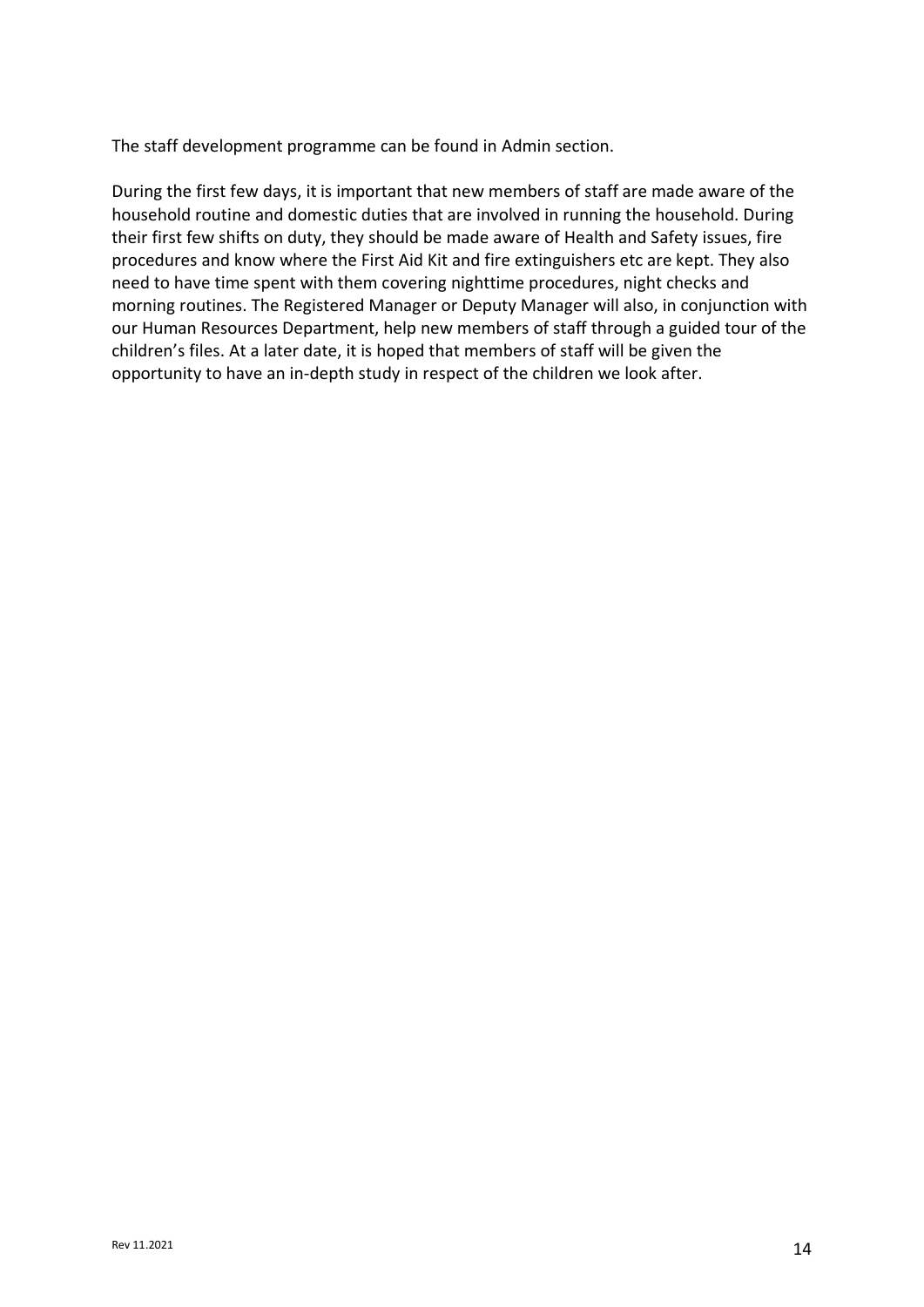The staff development programme can be found in Admin section.

During the first few days, it is important that new members of staff are made aware of the household routine and domestic duties that are involved in running the household. During their first few shifts on duty, they should be made aware of Health and Safety issues, fire procedures and know where the First Aid Kit and fire extinguishers etc are kept. They also need to have time spent with them covering nighttime procedures, night checks and morning routines. The Registered Manager or Deputy Manager will also, in conjunction with our Human Resources Department, help new members of staff through a guided tour of the children's files. At a later date, it is hoped that members of staff will be given the opportunity to have an in-depth study in respect of the children we look after.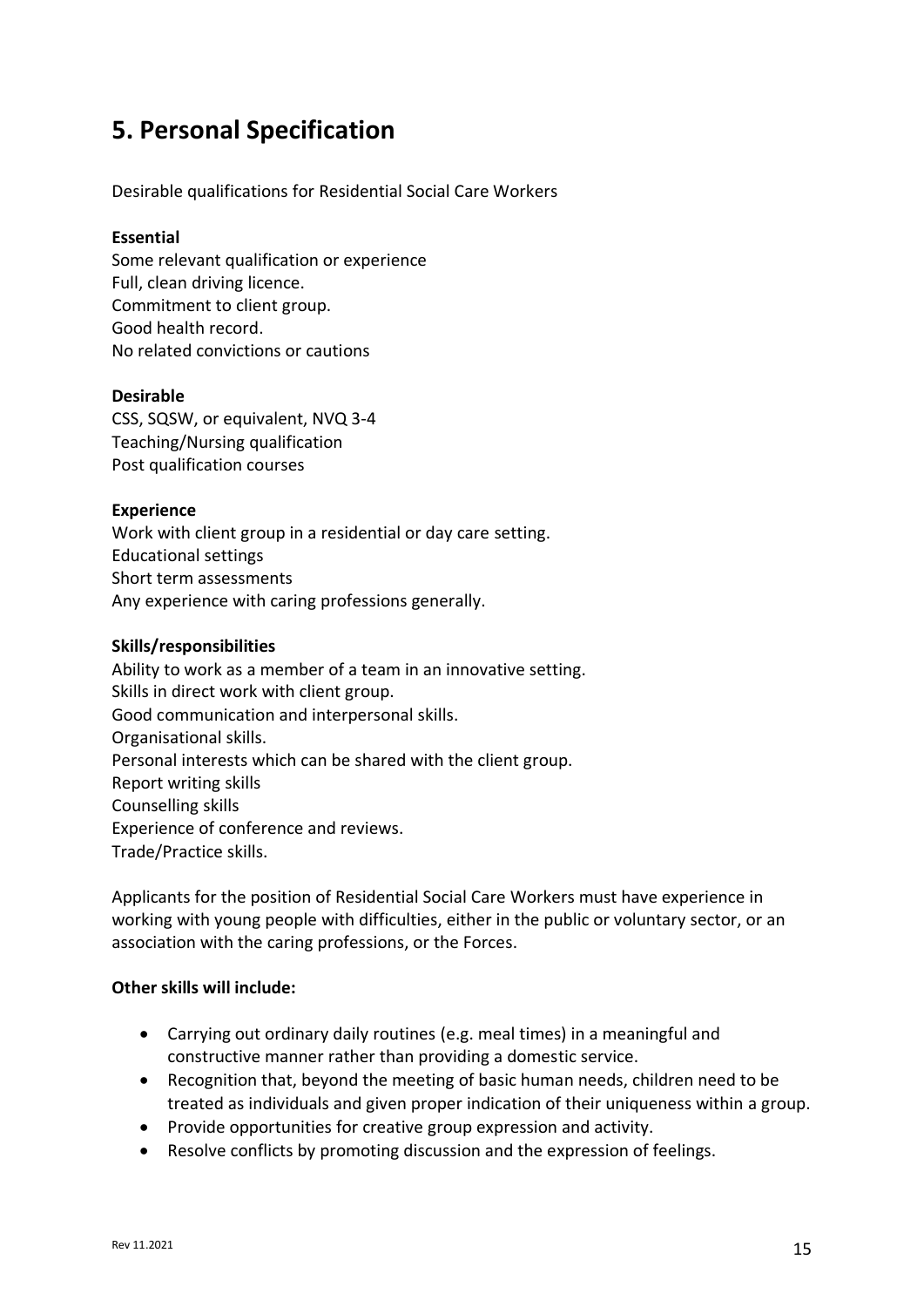## **5. Personal Specification**

Desirable qualifications for Residential Social Care Workers

#### **Essential**

Some relevant qualification or experience Full, clean driving licence. Commitment to client group. Good health record. No related convictions or cautions

#### **Desirable**

CSS, SQSW, or equivalent, NVQ 3-4 Teaching/Nursing qualification Post qualification courses

#### **Experience**

Work with client group in a residential or day care setting. Educational settings Short term assessments Any experience with caring professions generally.

#### **Skills/responsibilities**

Ability to work as a member of a team in an innovative setting. Skills in direct work with client group. Good communication and interpersonal skills. Organisational skills. Personal interests which can be shared with the client group. Report writing skills Counselling skills Experience of conference and reviews. Trade/Practice skills.

Applicants for the position of Residential Social Care Workers must have experience in working with young people with difficulties, either in the public or voluntary sector, or an association with the caring professions, or the Forces.

#### **Other skills will include:**

- Carrying out ordinary daily routines (e.g. meal times) in a meaningful and constructive manner rather than providing a domestic service.
- Recognition that, beyond the meeting of basic human needs, children need to be treated as individuals and given proper indication of their uniqueness within a group.
- Provide opportunities for creative group expression and activity.
- Resolve conflicts by promoting discussion and the expression of feelings.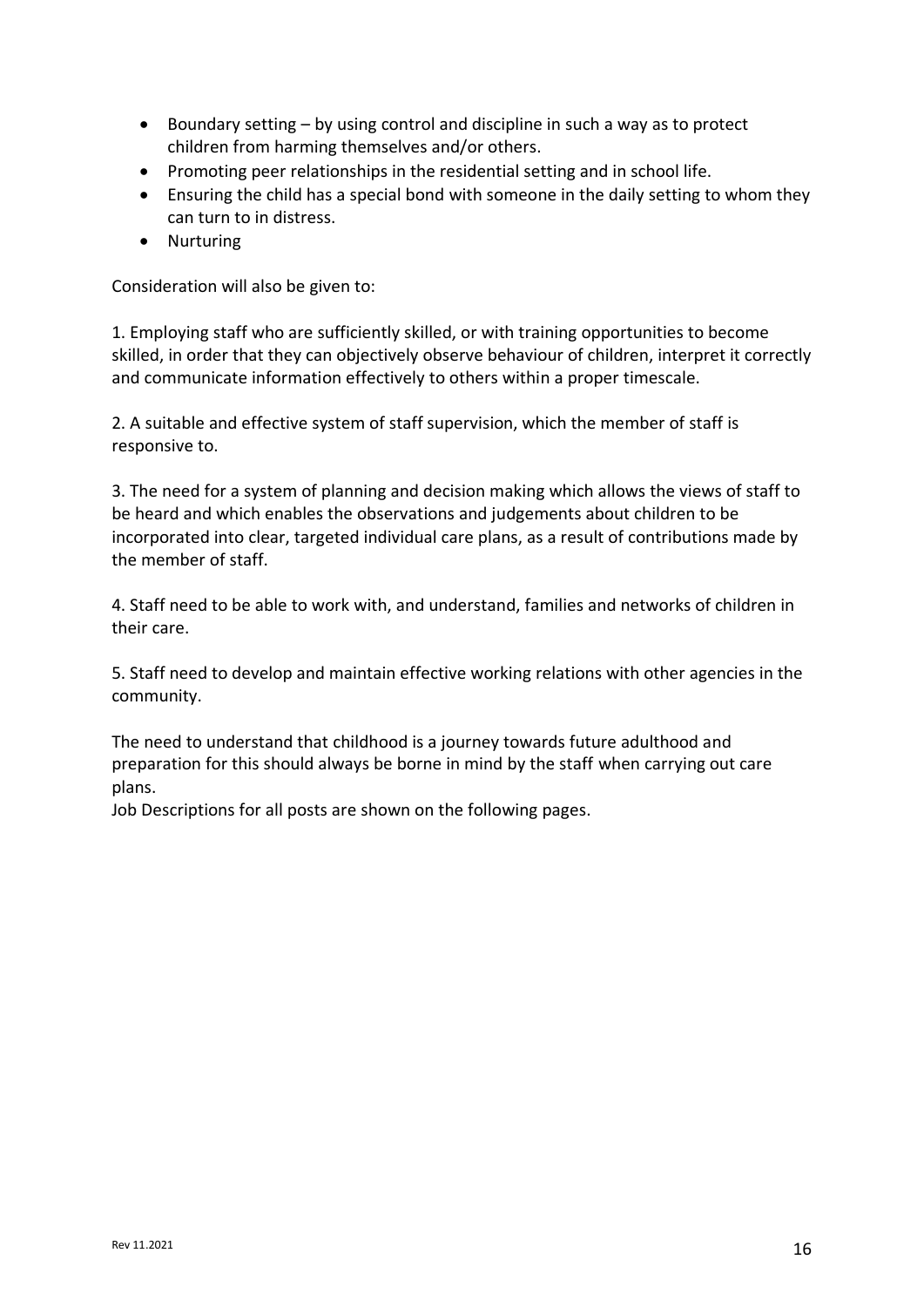- Boundary setting by using control and discipline in such a way as to protect children from harming themselves and/or others.
- Promoting peer relationships in the residential setting and in school life.
- Ensuring the child has a special bond with someone in the daily setting to whom they can turn to in distress.
- Nurturing

Consideration will also be given to:

1. Employing staff who are sufficiently skilled, or with training opportunities to become skilled, in order that they can objectively observe behaviour of children, interpret it correctly and communicate information effectively to others within a proper timescale.

2. A suitable and effective system of staff supervision, which the member of staff is responsive to.

3. The need for a system of planning and decision making which allows the views of staff to be heard and which enables the observations and judgements about children to be incorporated into clear, targeted individual care plans, as a result of contributions made by the member of staff.

4. Staff need to be able to work with, and understand, families and networks of children in their care.

5. Staff need to develop and maintain effective working relations with other agencies in the community.

The need to understand that childhood is a journey towards future adulthood and preparation for this should always be borne in mind by the staff when carrying out care plans.

Job Descriptions for all posts are shown on the following pages.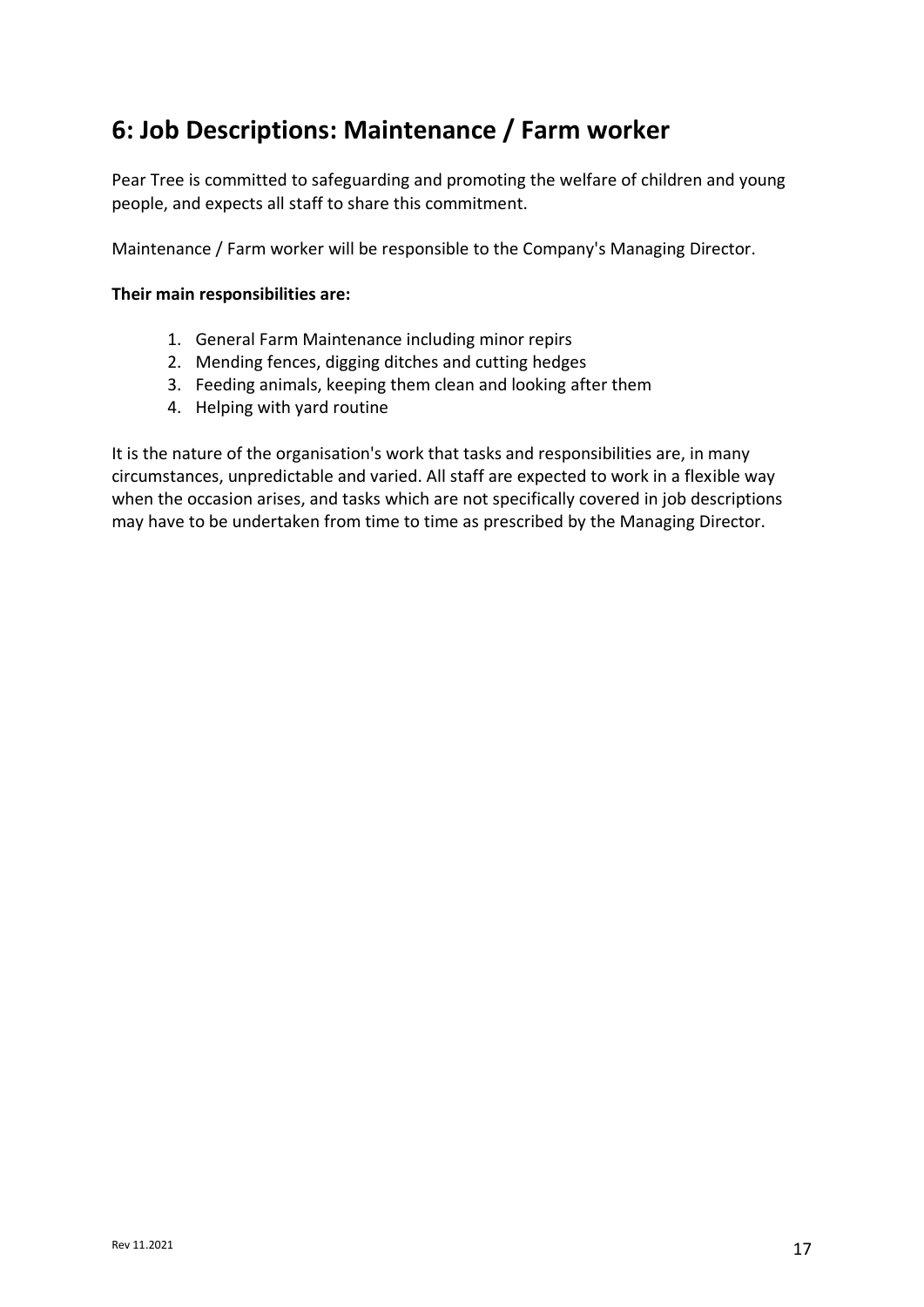## **6: Job Descriptions: Maintenance / Farm worker**

Pear Tree is committed to safeguarding and promoting the welfare of children and young people, and expects all staff to share this commitment.

Maintenance / Farm worker will be responsible to the Company's Managing Director.

#### **Their main responsibilities are:**

- 1. General Farm Maintenance including minor repirs
- 2. Mending fences, digging ditches and cutting hedges
- 3. Feeding animals, keeping them clean and looking after them
- 4. Helping with yard routine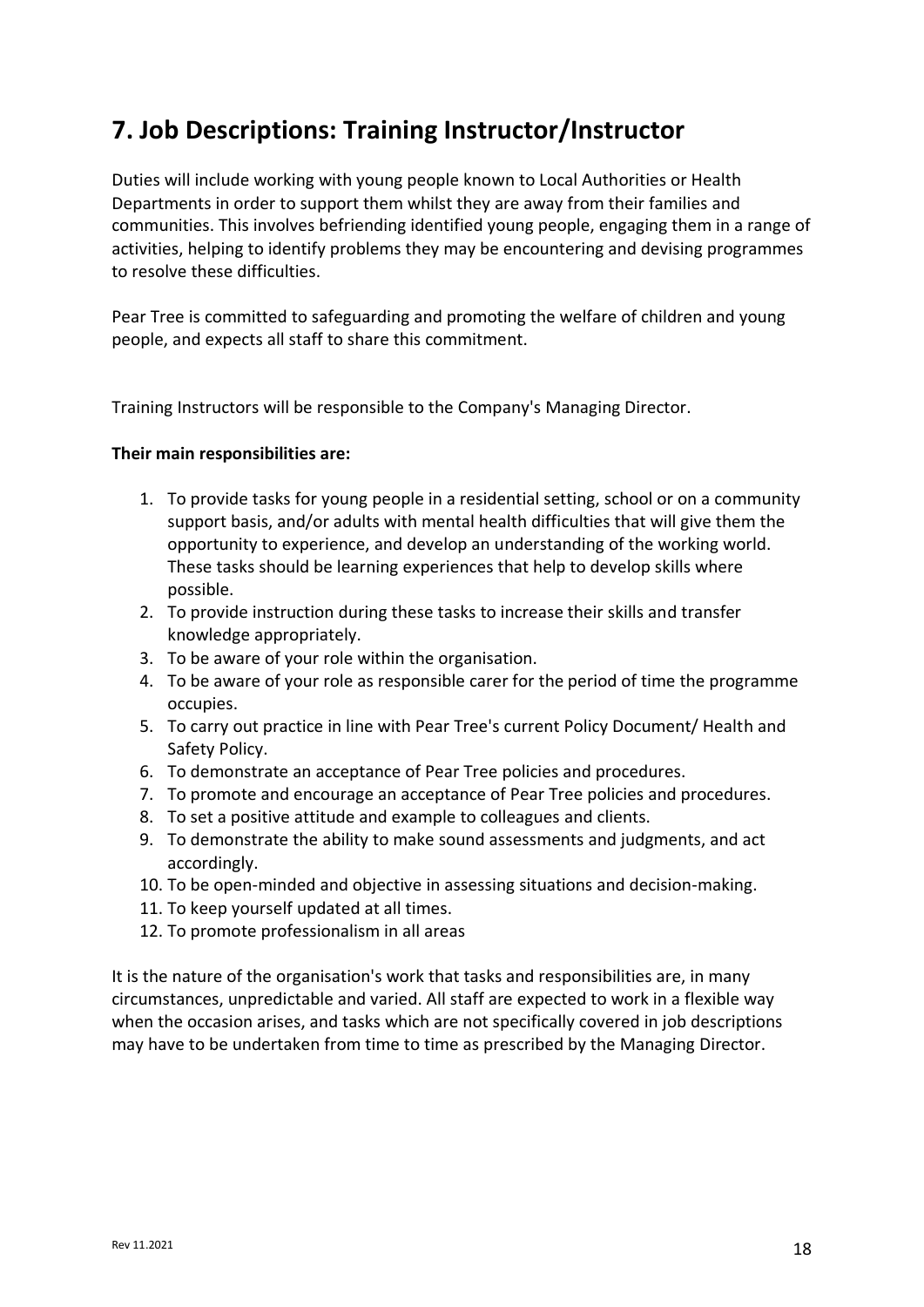## **7. Job Descriptions: Training Instructor/Instructor**

Duties will include working with young people known to Local Authorities or Health Departments in order to support them whilst they are away from their families and communities. This involves befriending identified young people, engaging them in a range of activities, helping to identify problems they may be encountering and devising programmes to resolve these difficulties.

Pear Tree is committed to safeguarding and promoting the welfare of children and young people, and expects all staff to share this commitment.

Training Instructors will be responsible to the Company's Managing Director.

#### **Their main responsibilities are:**

- 1. To provide tasks for young people in a residential setting, school or on a community support basis, and/or adults with mental health difficulties that will give them the opportunity to experience, and develop an understanding of the working world. These tasks should be learning experiences that help to develop skills where possible.
- 2. To provide instruction during these tasks to increase their skills and transfer knowledge appropriately.
- 3. To be aware of your role within the organisation.
- 4. To be aware of your role as responsible carer for the period of time the programme occupies.
- 5. To carry out practice in line with Pear Tree's current Policy Document/ Health and Safety Policy.
- 6. To demonstrate an acceptance of Pear Tree policies and procedures.
- 7. To promote and encourage an acceptance of Pear Tree policies and procedures.
- 8. To set a positive attitude and example to colleagues and clients.
- 9. To demonstrate the ability to make sound assessments and judgments, and act accordingly.
- 10. To be open-minded and objective in assessing situations and decision-making.
- 11. To keep yourself updated at all times.
- 12. To promote professionalism in all areas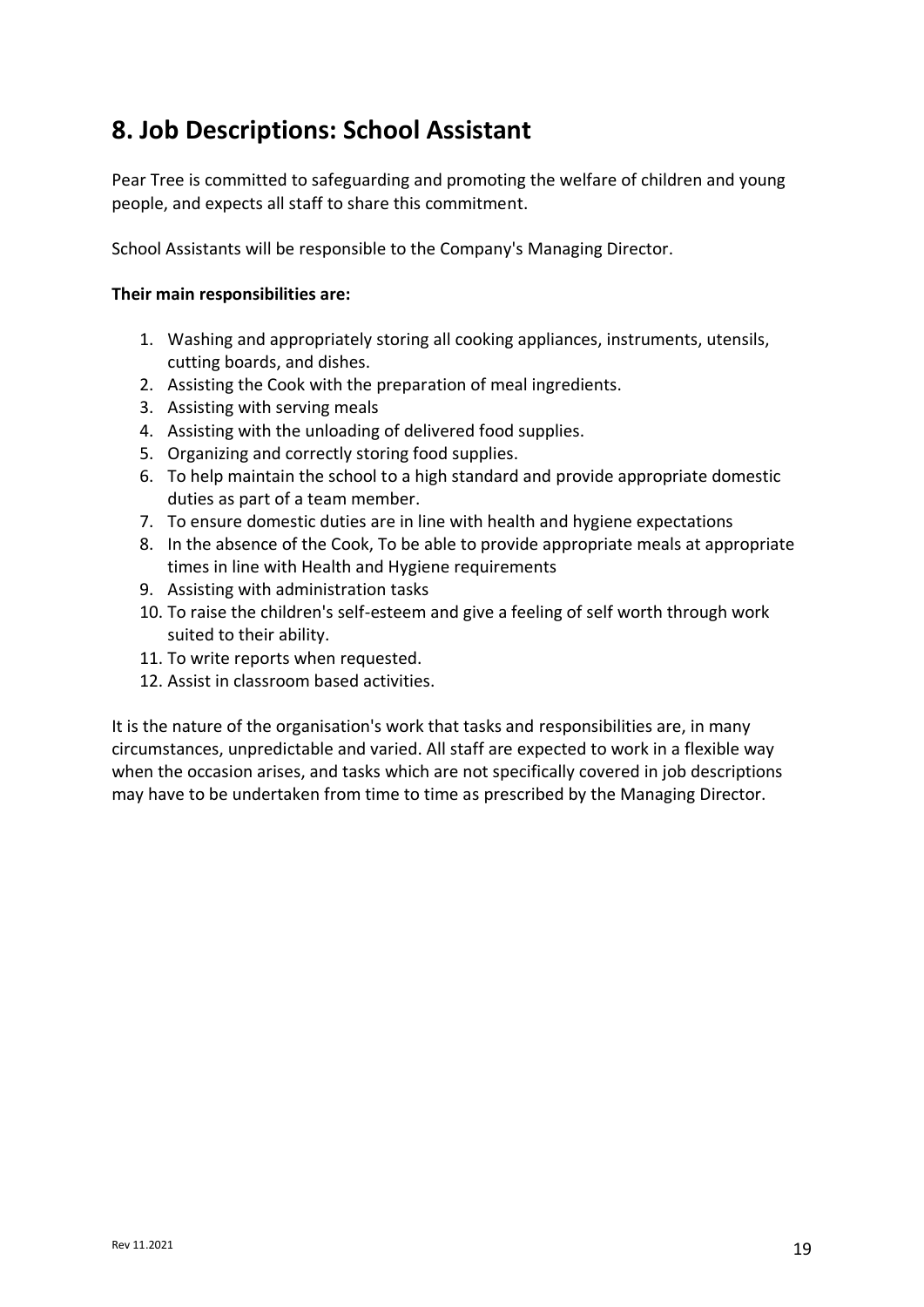## **8. Job Descriptions: School Assistant**

Pear Tree is committed to safeguarding and promoting the welfare of children and young people, and expects all staff to share this commitment.

School Assistants will be responsible to the Company's Managing Director.

#### **Their main responsibilities are:**

- 1. Washing and appropriately storing all cooking appliances, instruments, utensils, cutting boards, and dishes.
- 2. Assisting the Cook with the preparation of meal ingredients.
- 3. Assisting with serving meals
- 4. Assisting with the unloading of delivered food supplies.
- 5. Organizing and correctly storing food supplies.
- 6. To help maintain the school to a high standard and provide appropriate domestic duties as part of a team member.
- 7. To ensure domestic duties are in line with health and hygiene expectations
- 8. In the absence of the Cook, To be able to provide appropriate meals at appropriate times in line with Health and Hygiene requirements
- 9. Assisting with administration tasks
- 10. To raise the children's self-esteem and give a feeling of self worth through work suited to their ability.
- 11. To write reports when requested.
- 12. Assist in classroom based activities.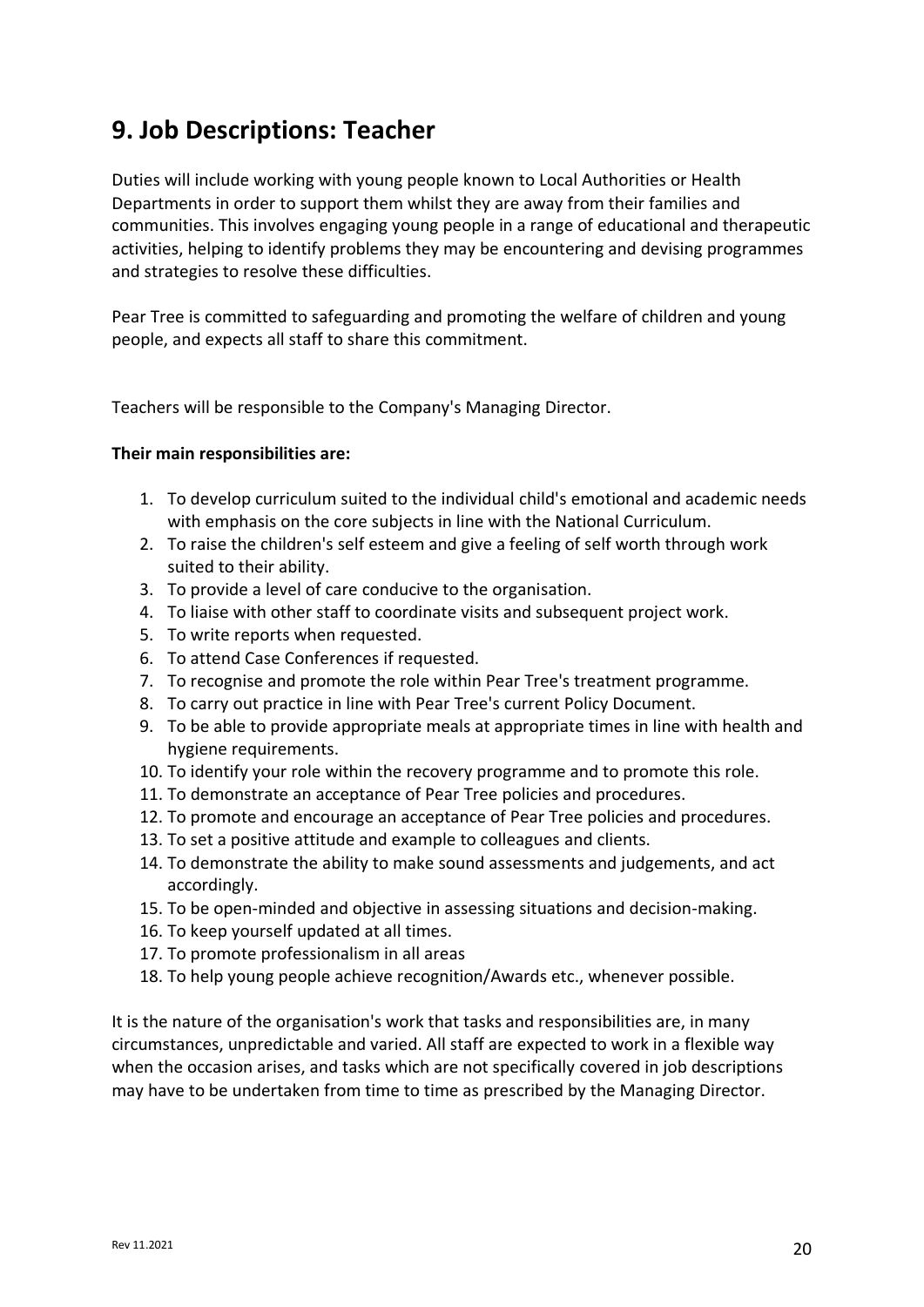### **9. Job Descriptions: Teacher**

Duties will include working with young people known to Local Authorities or Health Departments in order to support them whilst they are away from their families and communities. This involves engaging young people in a range of educational and therapeutic activities, helping to identify problems they may be encountering and devising programmes and strategies to resolve these difficulties.

Pear Tree is committed to safeguarding and promoting the welfare of children and young people, and expects all staff to share this commitment.

Teachers will be responsible to the Company's Managing Director.

#### **Their main responsibilities are:**

- 1. To develop curriculum suited to the individual child's emotional and academic needs with emphasis on the core subjects in line with the National Curriculum.
- 2. To raise the children's self esteem and give a feeling of self worth through work suited to their ability.
- 3. To provide a level of care conducive to the organisation.
- 4. To liaise with other staff to coordinate visits and subsequent project work.
- 5. To write reports when requested.
- 6. To attend Case Conferences if requested.
- 7. To recognise and promote the role within Pear Tree's treatment programme.
- 8. To carry out practice in line with Pear Tree's current Policy Document.
- 9. To be able to provide appropriate meals at appropriate times in line with health and hygiene requirements.
- 10. To identify your role within the recovery programme and to promote this role.
- 11. To demonstrate an acceptance of Pear Tree policies and procedures.
- 12. To promote and encourage an acceptance of Pear Tree policies and procedures.
- 13. To set a positive attitude and example to colleagues and clients.
- 14. To demonstrate the ability to make sound assessments and judgements, and act accordingly.
- 15. To be open-minded and objective in assessing situations and decision-making.
- 16. To keep yourself updated at all times.
- 17. To promote professionalism in all areas
- 18. To help young people achieve recognition/Awards etc., whenever possible.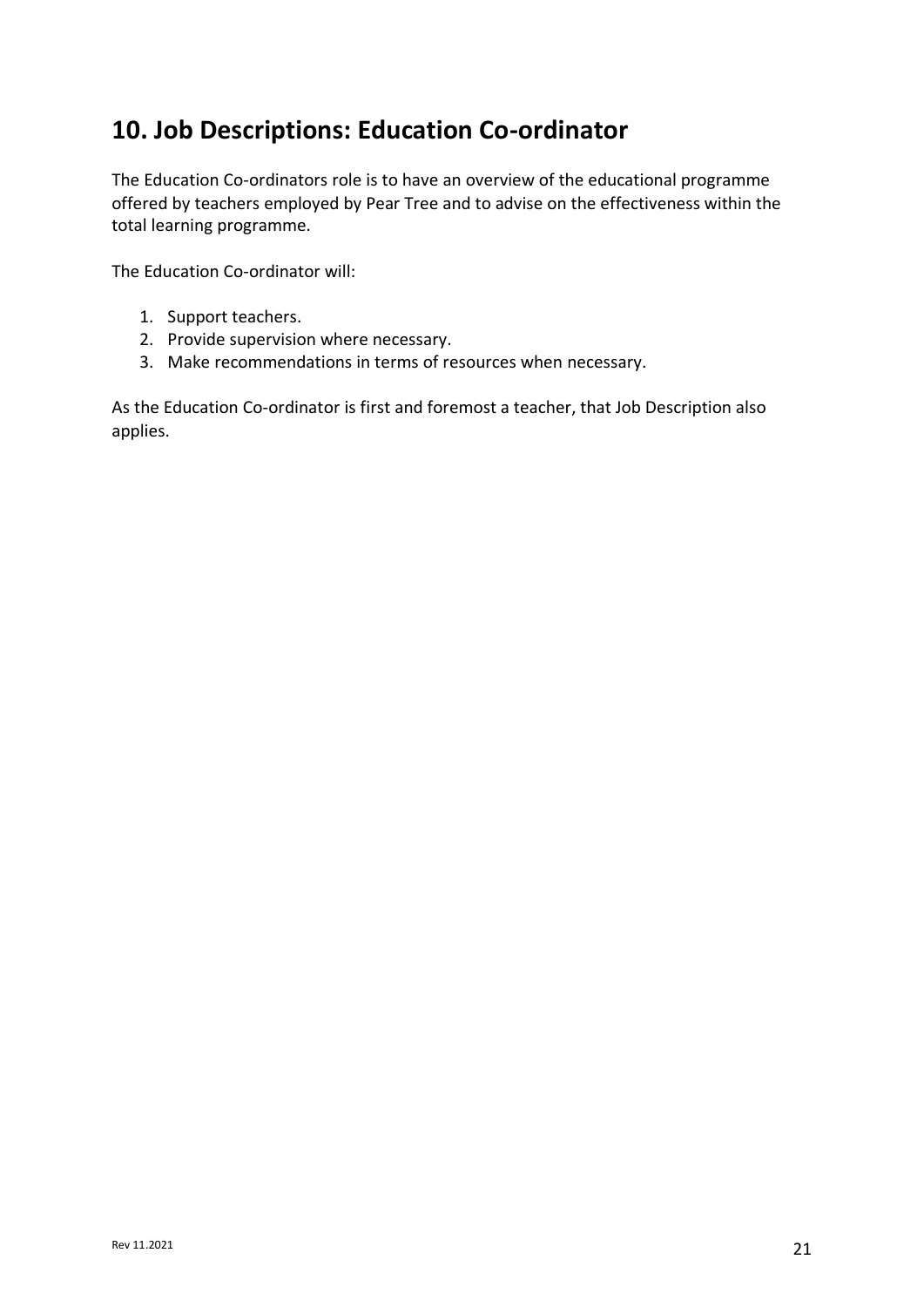### **10. Job Descriptions: Education Co-ordinator**

The Education Co-ordinators role is to have an overview of the educational programme offered by teachers employed by Pear Tree and to advise on the effectiveness within the total learning programme.

The Education Co-ordinator will:

- 1. Support teachers.
- 2. Provide supervision where necessary.
- 3. Make recommendations in terms of resources when necessary.

As the Education Co-ordinator is first and foremost a teacher, that Job Description also applies.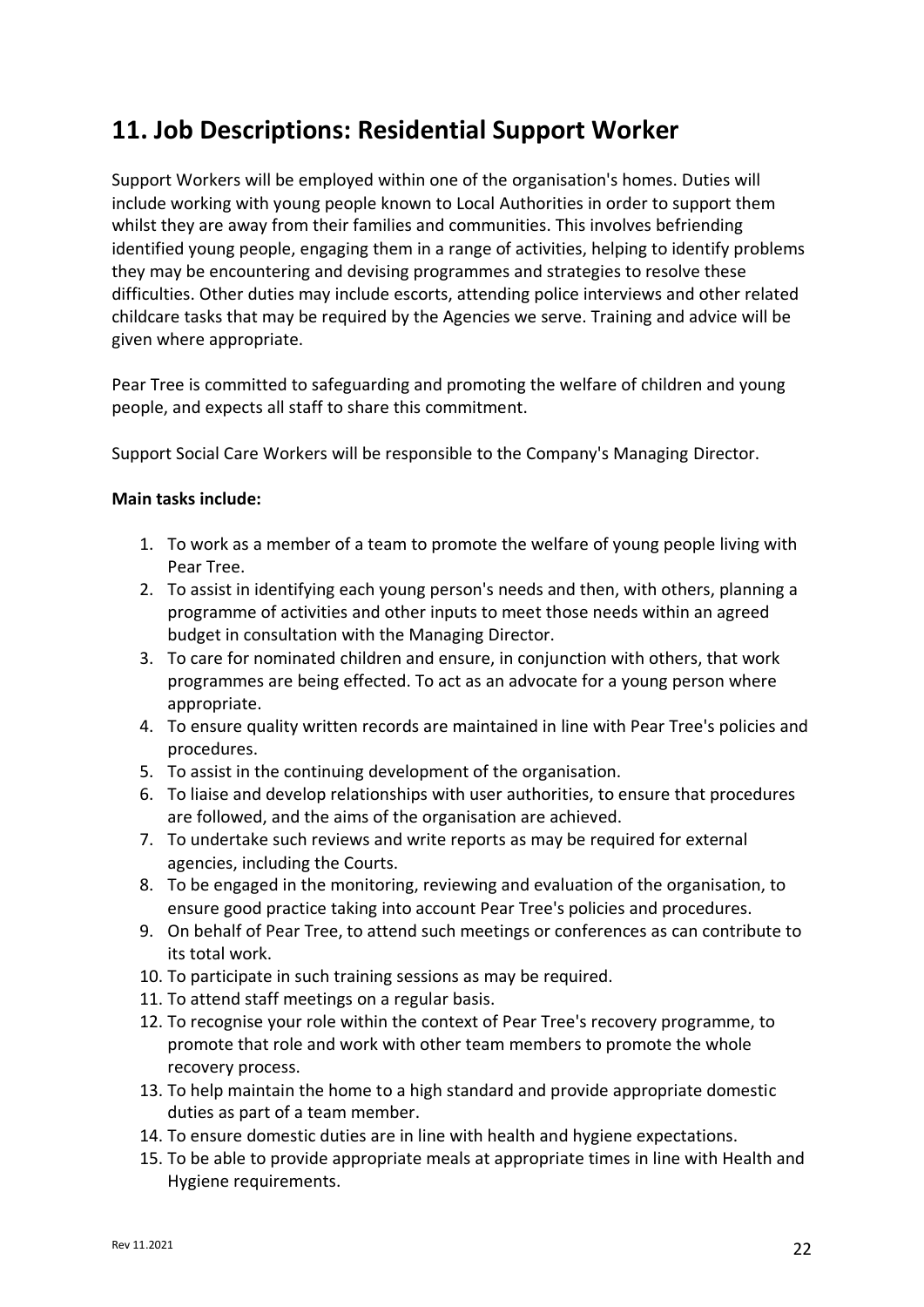### **11. Job Descriptions: Residential Support Worker**

Support Workers will be employed within one of the organisation's homes. Duties will include working with young people known to Local Authorities in order to support them whilst they are away from their families and communities. This involves befriending identified young people, engaging them in a range of activities, helping to identify problems they may be encountering and devising programmes and strategies to resolve these difficulties. Other duties may include escorts, attending police interviews and other related childcare tasks that may be required by the Agencies we serve. Training and advice will be given where appropriate.

Pear Tree is committed to safeguarding and promoting the welfare of children and young people, and expects all staff to share this commitment.

Support Social Care Workers will be responsible to the Company's Managing Director.

#### **Main tasks include:**

- 1. To work as a member of a team to promote the welfare of young people living with Pear Tree.
- 2. To assist in identifying each young person's needs and then, with others, planning a programme of activities and other inputs to meet those needs within an agreed budget in consultation with the Managing Director.
- 3. To care for nominated children and ensure, in conjunction with others, that work programmes are being effected. To act as an advocate for a young person where appropriate.
- 4. To ensure quality written records are maintained in line with Pear Tree's policies and procedures.
- 5. To assist in the continuing development of the organisation.
- 6. To liaise and develop relationships with user authorities, to ensure that procedures are followed, and the aims of the organisation are achieved.
- 7. To undertake such reviews and write reports as may be required for external agencies, including the Courts.
- 8. To be engaged in the monitoring, reviewing and evaluation of the organisation, to ensure good practice taking into account Pear Tree's policies and procedures.
- 9. On behalf of Pear Tree, to attend such meetings or conferences as can contribute to its total work.
- 10. To participate in such training sessions as may be required.
- 11. To attend staff meetings on a regular basis.
- 12. To recognise your role within the context of Pear Tree's recovery programme, to promote that role and work with other team members to promote the whole recovery process.
- 13. To help maintain the home to a high standard and provide appropriate domestic duties as part of a team member.
- 14. To ensure domestic duties are in line with health and hygiene expectations.
- 15. To be able to provide appropriate meals at appropriate times in line with Health and Hygiene requirements.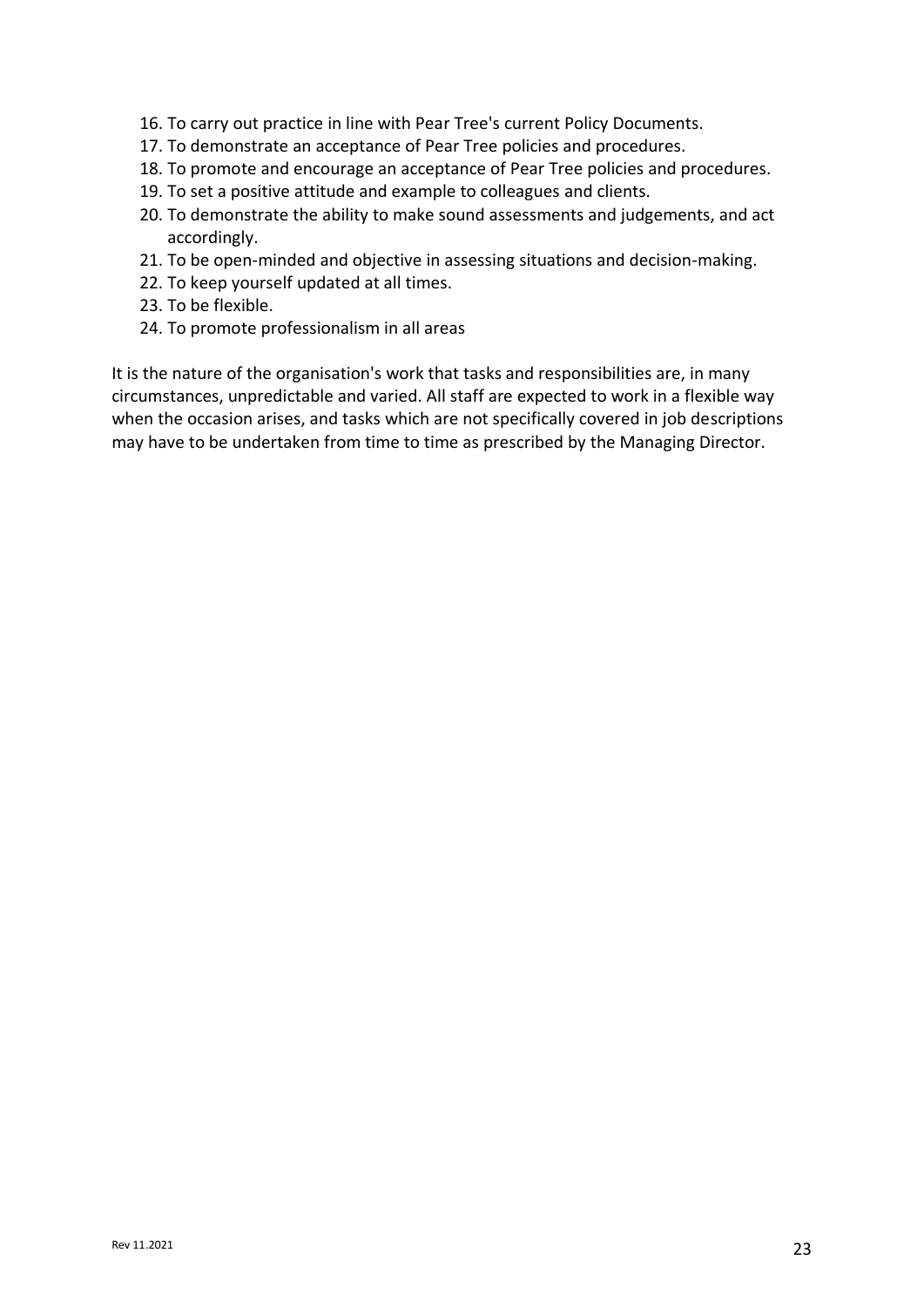- 16. To carry out practice in line with Pear Tree's current Policy Documents.
- 17. To demonstrate an acceptance of Pear Tree policies and procedures.
- 18. To promote and encourage an acceptance of Pear Tree policies and procedures.
- 19. To set a positive attitude and example to colleagues and clients.
- 20. To demonstrate the ability to make sound assessments and judgements, and act accordingly.
- 21. To be open-minded and objective in assessing situations and decision-making.
- 22. To keep yourself updated at all times.
- 23. To be flexible.
- 24. To promote professionalism in all areas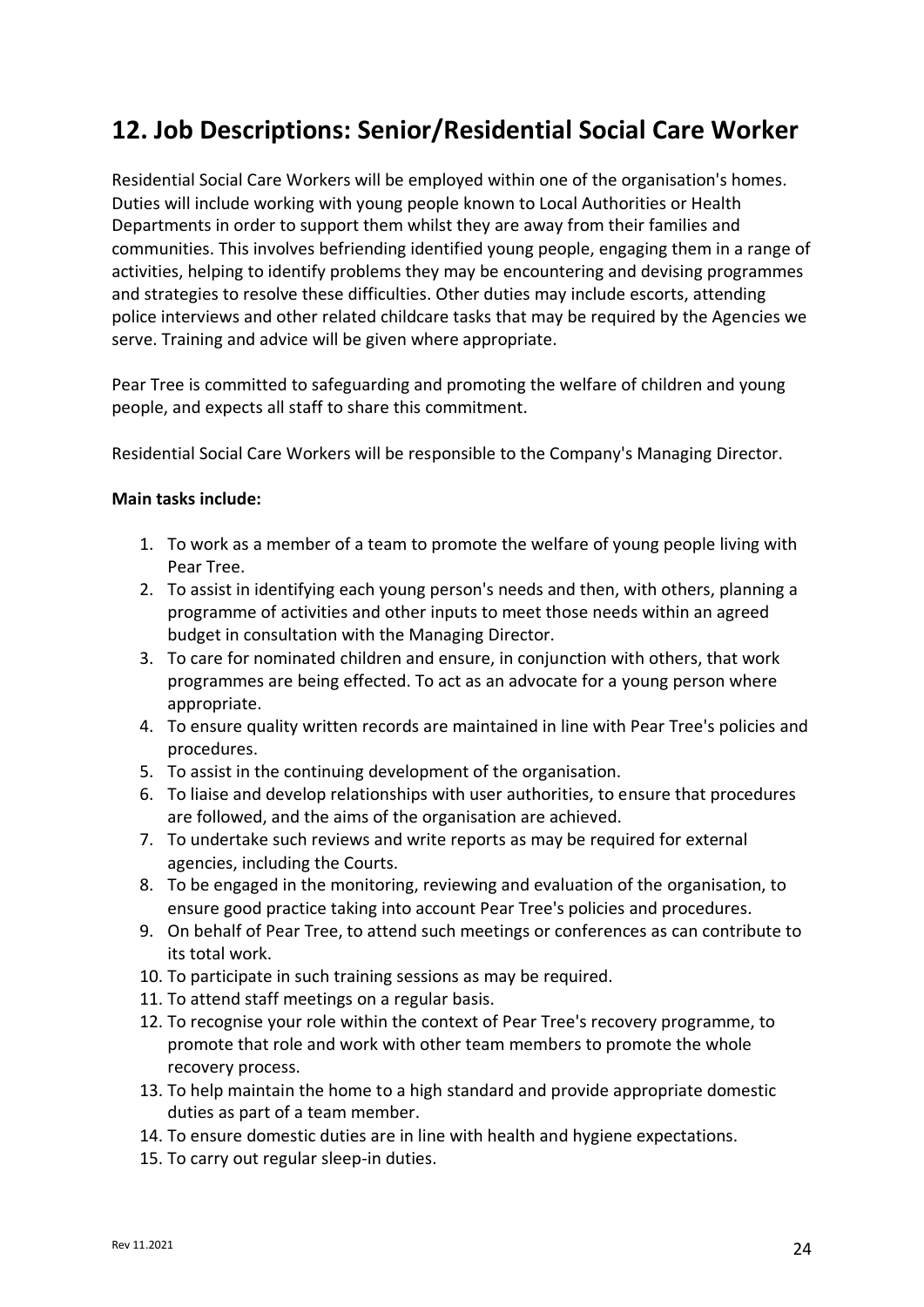### **12. Job Descriptions: Senior/Residential Social Care Worker**

Residential Social Care Workers will be employed within one of the organisation's homes. Duties will include working with young people known to Local Authorities or Health Departments in order to support them whilst they are away from their families and communities. This involves befriending identified young people, engaging them in a range of activities, helping to identify problems they may be encountering and devising programmes and strategies to resolve these difficulties. Other duties may include escorts, attending police interviews and other related childcare tasks that may be required by the Agencies we serve. Training and advice will be given where appropriate.

Pear Tree is committed to safeguarding and promoting the welfare of children and young people, and expects all staff to share this commitment.

Residential Social Care Workers will be responsible to the Company's Managing Director.

#### **Main tasks include:**

- 1. To work as a member of a team to promote the welfare of young people living with Pear Tree.
- 2. To assist in identifying each young person's needs and then, with others, planning a programme of activities and other inputs to meet those needs within an agreed budget in consultation with the Managing Director.
- 3. To care for nominated children and ensure, in conjunction with others, that work programmes are being effected. To act as an advocate for a young person where appropriate.
- 4. To ensure quality written records are maintained in line with Pear Tree's policies and procedures.
- 5. To assist in the continuing development of the organisation.
- 6. To liaise and develop relationships with user authorities, to ensure that procedures are followed, and the aims of the organisation are achieved.
- 7. To undertake such reviews and write reports as may be required for external agencies, including the Courts.
- 8. To be engaged in the monitoring, reviewing and evaluation of the organisation, to ensure good practice taking into account Pear Tree's policies and procedures.
- 9. On behalf of Pear Tree, to attend such meetings or conferences as can contribute to its total work.
- 10. To participate in such training sessions as may be required.
- 11. To attend staff meetings on a regular basis.
- 12. To recognise your role within the context of Pear Tree's recovery programme, to promote that role and work with other team members to promote the whole recovery process.
- 13. To help maintain the home to a high standard and provide appropriate domestic duties as part of a team member.
- 14. To ensure domestic duties are in line with health and hygiene expectations.
- 15. To carry out regular sleep-in duties.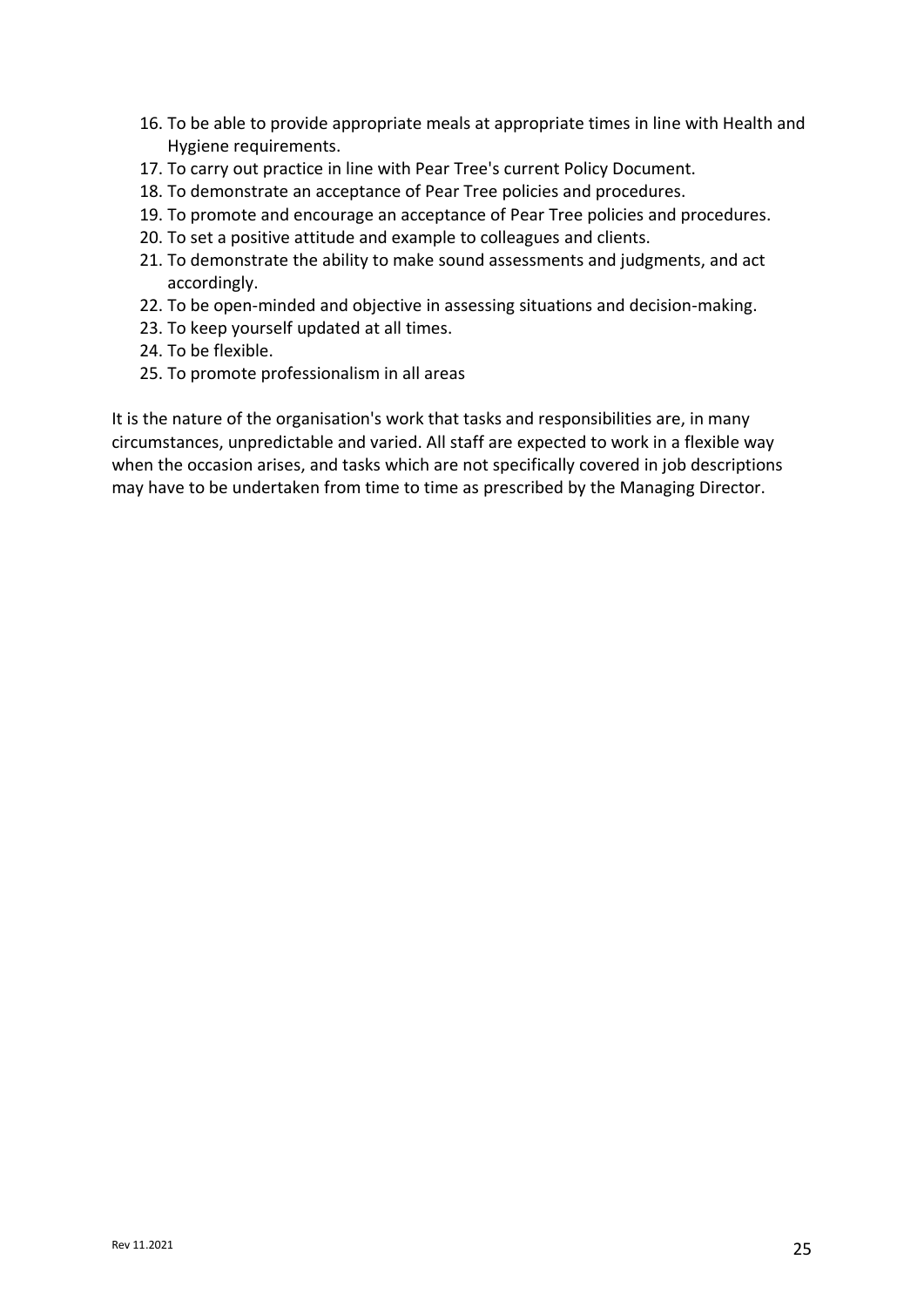- 16. To be able to provide appropriate meals at appropriate times in line with Health and Hygiene requirements.
- 17. To carry out practice in line with Pear Tree's current Policy Document.
- 18. To demonstrate an acceptance of Pear Tree policies and procedures.
- 19. To promote and encourage an acceptance of Pear Tree policies and procedures.
- 20. To set a positive attitude and example to colleagues and clients.
- 21. To demonstrate the ability to make sound assessments and judgments, and act accordingly.
- 22. To be open-minded and objective in assessing situations and decision-making.
- 23. To keep yourself updated at all times.
- 24. To be flexible.
- 25. To promote professionalism in all areas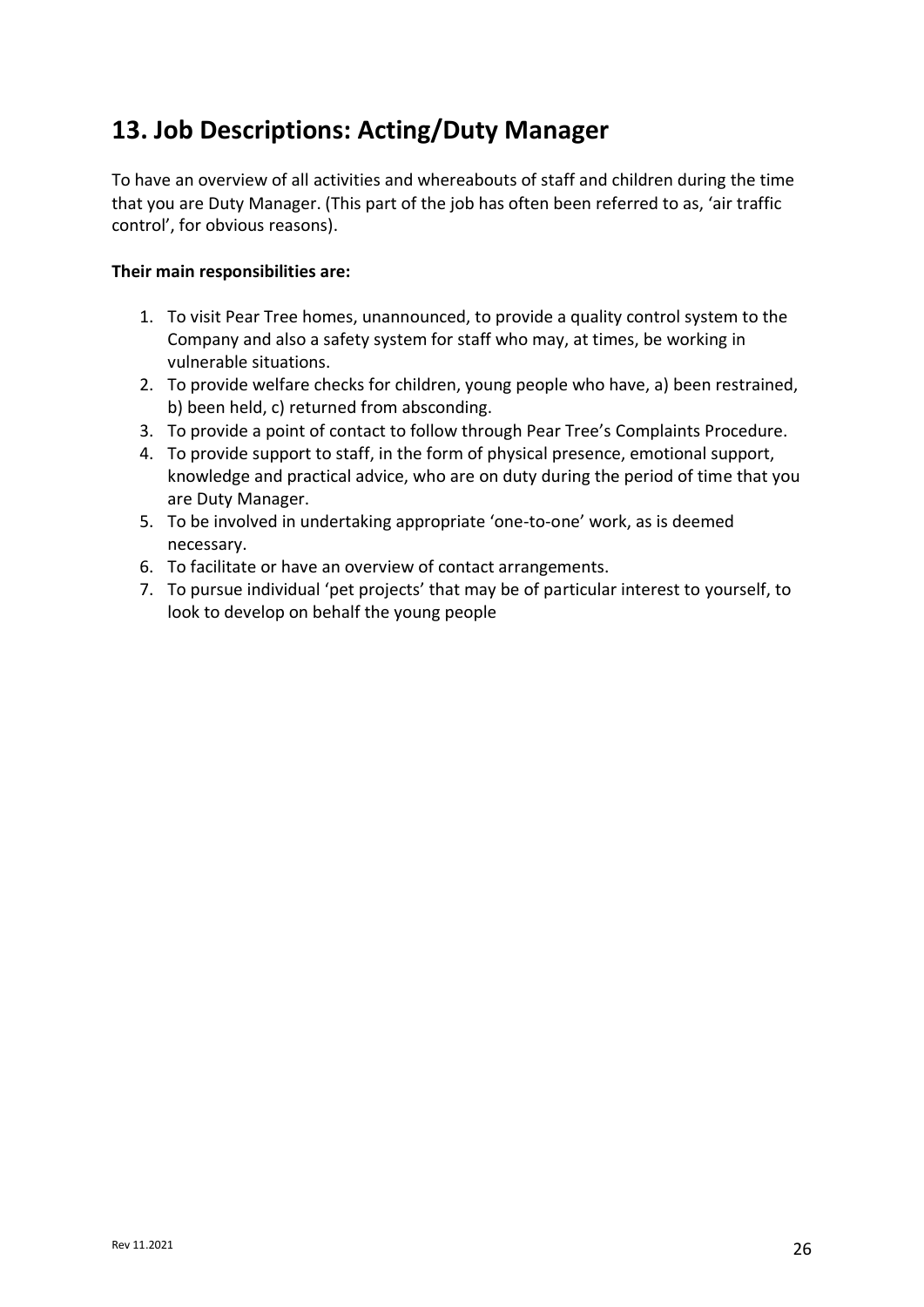## **13. Job Descriptions: Acting/Duty Manager**

To have an overview of all activities and whereabouts of staff and children during the time that you are Duty Manager. (This part of the job has often been referred to as, 'air traffic control', for obvious reasons).

#### **Their main responsibilities are:**

- 1. To visit Pear Tree homes, unannounced, to provide a quality control system to the Company and also a safety system for staff who may, at times, be working in vulnerable situations.
- 2. To provide welfare checks for children, young people who have, a) been restrained, b) been held, c) returned from absconding.
- 3. To provide a point of contact to follow through Pear Tree's Complaints Procedure.
- 4. To provide support to staff, in the form of physical presence, emotional support, knowledge and practical advice, who are on duty during the period of time that you are Duty Manager.
- 5. To be involved in undertaking appropriate 'one-to-one' work, as is deemed necessary.
- 6. To facilitate or have an overview of contact arrangements.
- 7. To pursue individual 'pet projects' that may be of particular interest to yourself, to look to develop on behalf the young people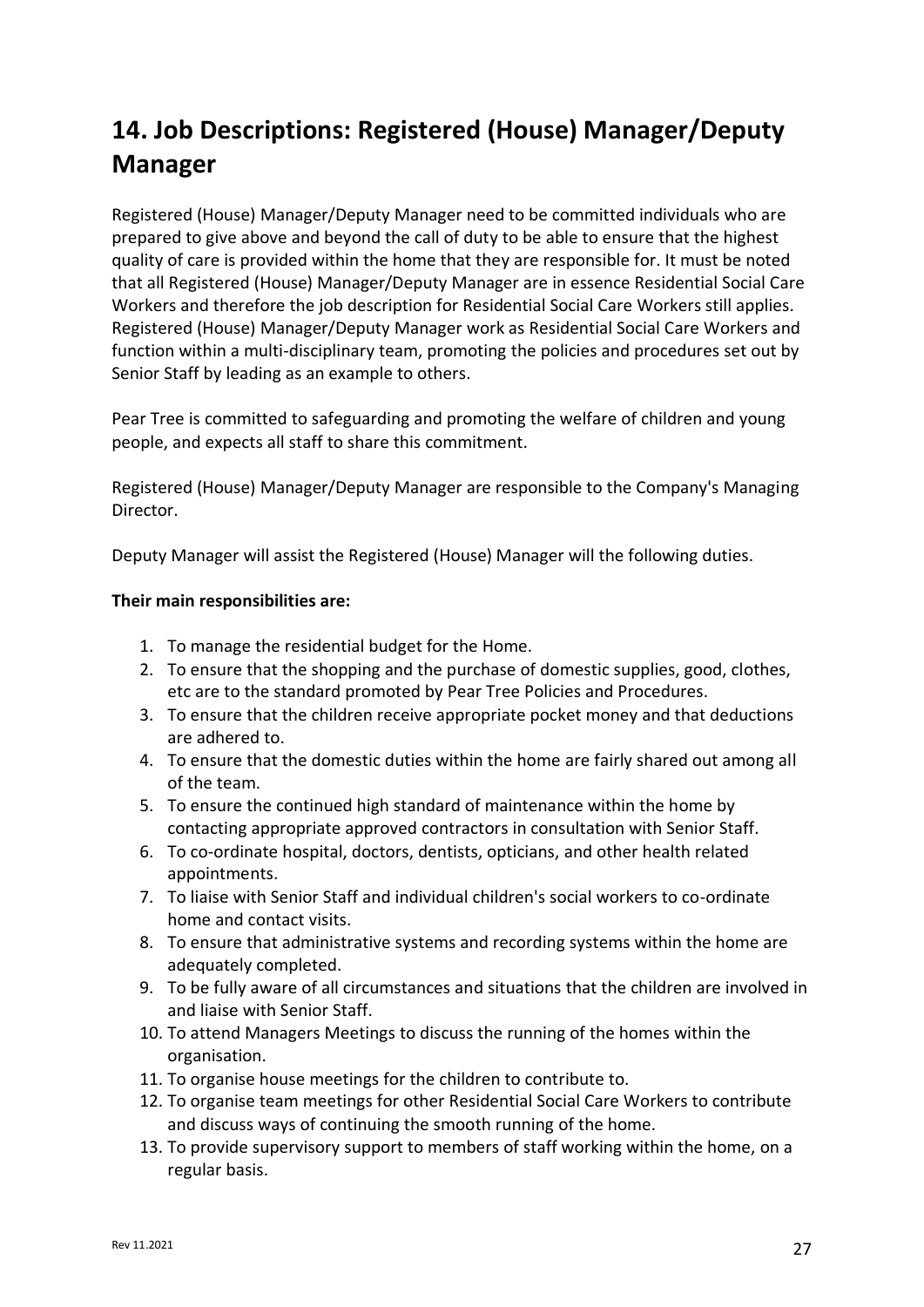# **14. Job Descriptions: Registered (House) Manager/Deputy Manager**

Registered (House) Manager/Deputy Manager need to be committed individuals who are prepared to give above and beyond the call of duty to be able to ensure that the highest quality of care is provided within the home that they are responsible for. It must be noted that all Registered (House) Manager/Deputy Manager are in essence Residential Social Care Workers and therefore the job description for Residential Social Care Workers still applies. Registered (House) Manager/Deputy Manager work as Residential Social Care Workers and function within a multi-disciplinary team, promoting the policies and procedures set out by Senior Staff by leading as an example to others.

Pear Tree is committed to safeguarding and promoting the welfare of children and young people, and expects all staff to share this commitment.

Registered (House) Manager/Deputy Manager are responsible to the Company's Managing Director.

Deputy Manager will assist the Registered (House) Manager will the following duties.

#### **Their main responsibilities are:**

- 1. To manage the residential budget for the Home.
- 2. To ensure that the shopping and the purchase of domestic supplies, good, clothes, etc are to the standard promoted by Pear Tree Policies and Procedures.
- 3. To ensure that the children receive appropriate pocket money and that deductions are adhered to.
- 4. To ensure that the domestic duties within the home are fairly shared out among all of the team.
- 5. To ensure the continued high standard of maintenance within the home by contacting appropriate approved contractors in consultation with Senior Staff.
- 6. To co-ordinate hospital, doctors, dentists, opticians, and other health related appointments.
- 7. To liaise with Senior Staff and individual children's social workers to co-ordinate home and contact visits.
- 8. To ensure that administrative systems and recording systems within the home are adequately completed.
- 9. To be fully aware of all circumstances and situations that the children are involved in and liaise with Senior Staff.
- 10. To attend Managers Meetings to discuss the running of the homes within the organisation.
- 11. To organise house meetings for the children to contribute to.
- 12. To organise team meetings for other Residential Social Care Workers to contribute and discuss ways of continuing the smooth running of the home.
- 13. To provide supervisory support to members of staff working within the home, on a regular basis.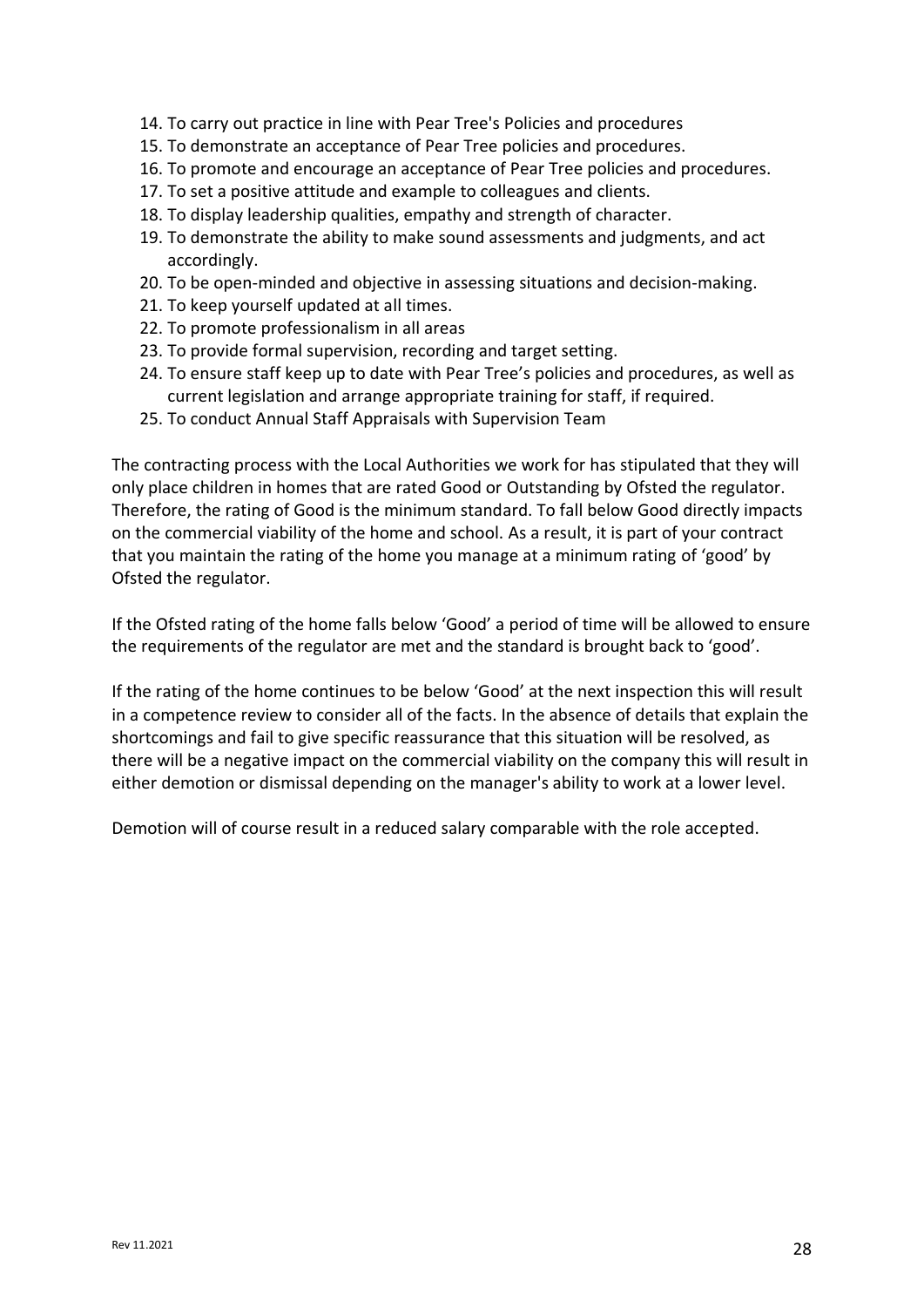- 14. To carry out practice in line with Pear Tree's Policies and procedures
- 15. To demonstrate an acceptance of Pear Tree policies and procedures.
- 16. To promote and encourage an acceptance of Pear Tree policies and procedures.
- 17. To set a positive attitude and example to colleagues and clients.
- 18. To display leadership qualities, empathy and strength of character.
- 19. To demonstrate the ability to make sound assessments and judgments, and act accordingly.
- 20. To be open-minded and objective in assessing situations and decision-making.
- 21. To keep yourself updated at all times.
- 22. To promote professionalism in all areas
- 23. To provide formal supervision, recording and target setting.
- 24. To ensure staff keep up to date with Pear Tree's policies and procedures, as well as current legislation and arrange appropriate training for staff, if required.
- 25. To conduct Annual Staff Appraisals with Supervision Team

The contracting process with the Local Authorities we work for has stipulated that they will only place children in homes that are rated Good or Outstanding by Ofsted the regulator. Therefore, the rating of Good is the minimum standard. To fall below Good directly impacts on the commercial viability of the home and school. As a result, it is part of your contract that you maintain the rating of the home you manage at a minimum rating of 'good' by Ofsted the regulator.

If the Ofsted rating of the home falls below 'Good' a period of time will be allowed to ensure the requirements of the regulator are met and the standard is brought back to 'good'.

If the rating of the home continues to be below 'Good' at the next inspection this will result in a competence review to consider all of the facts. In the absence of details that explain the shortcomings and fail to give specific reassurance that this situation will be resolved, as there will be a negative impact on the commercial viability on the company this will result in either demotion or dismissal depending on the manager's ability to work at a lower level.

Demotion will of course result in a reduced salary comparable with the role accepted.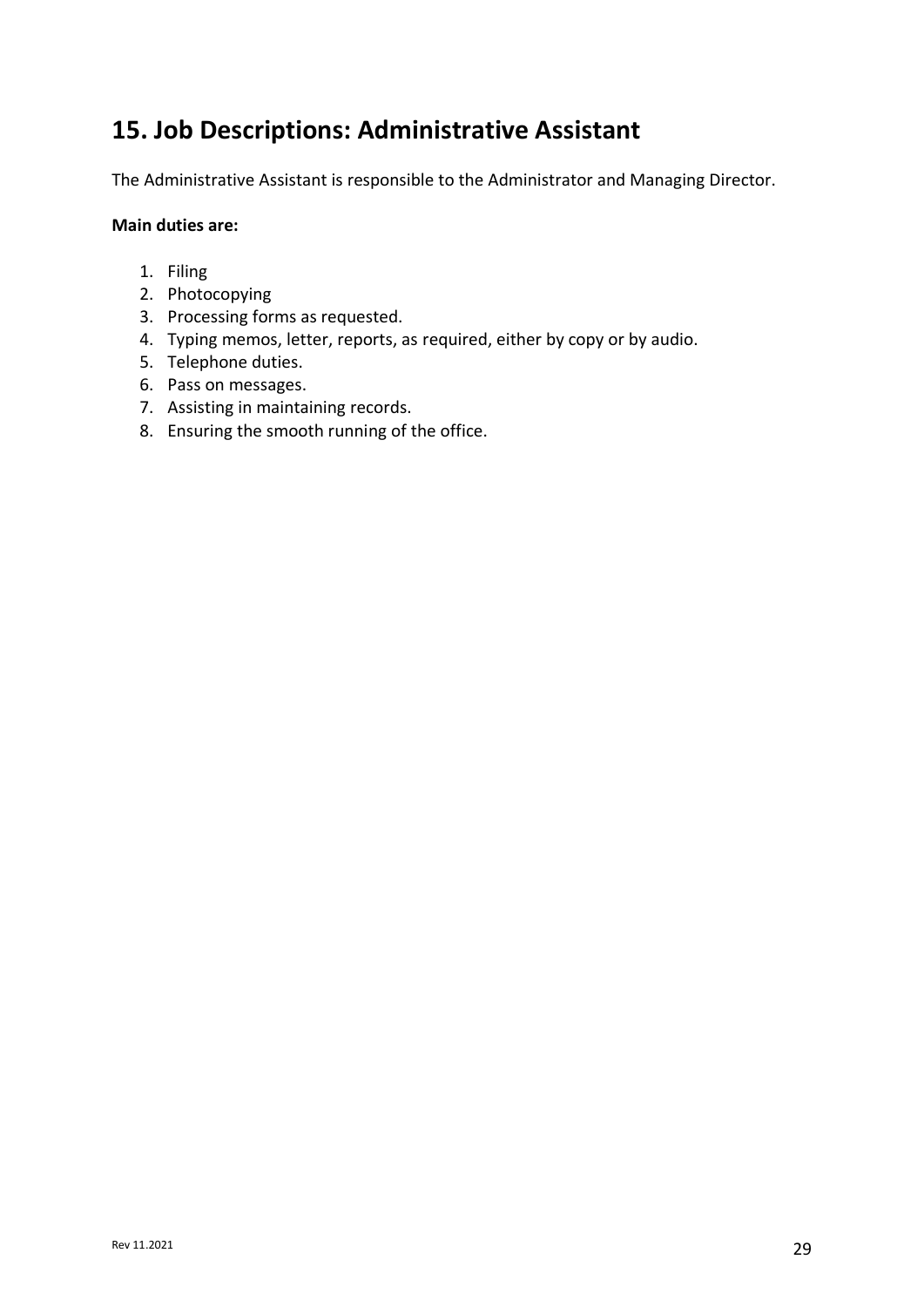### **15. Job Descriptions: Administrative Assistant**

The Administrative Assistant is responsible to the Administrator and Managing Director.

#### **Main duties are:**

- 1. Filing
- 2. Photocopying
- 3. Processing forms as requested.
- 4. Typing memos, letter, reports, as required, either by copy or by audio.
- 5. Telephone duties.
- 6. Pass on messages.
- 7. Assisting in maintaining records.
- 8. Ensuring the smooth running of the office.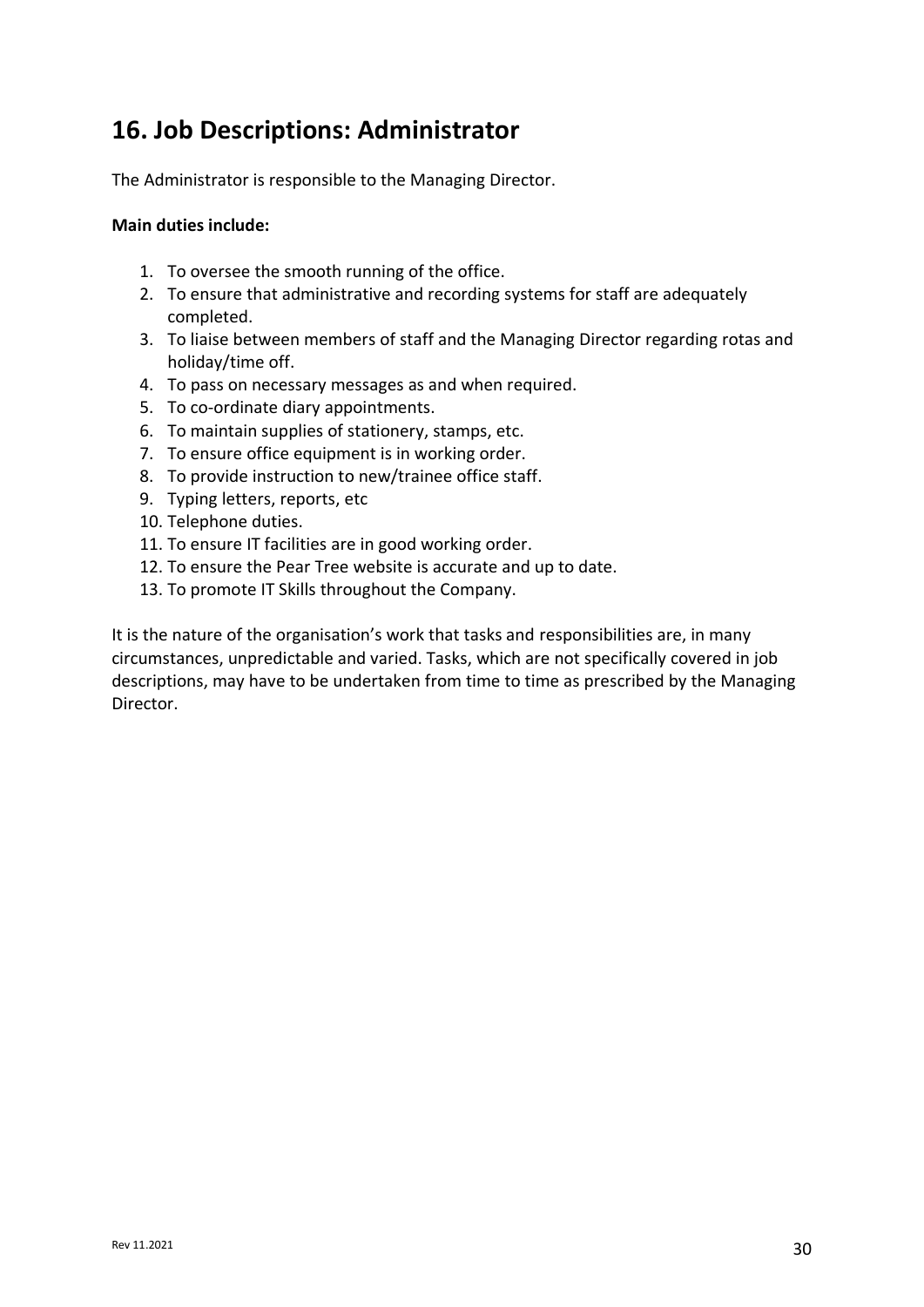### **16. Job Descriptions: Administrator**

The Administrator is responsible to the Managing Director.

#### **Main duties include:**

- 1. To oversee the smooth running of the office.
- 2. To ensure that administrative and recording systems for staff are adequately completed.
- 3. To liaise between members of staff and the Managing Director regarding rotas and holiday/time off.
- 4. To pass on necessary messages as and when required.
- 5. To co-ordinate diary appointments.
- 6. To maintain supplies of stationery, stamps, etc.
- 7. To ensure office equipment is in working order.
- 8. To provide instruction to new/trainee office staff.
- 9. Typing letters, reports, etc
- 10. Telephone duties.
- 11. To ensure IT facilities are in good working order.
- 12. To ensure the Pear Tree website is accurate and up to date.
- 13. To promote IT Skills throughout the Company.

It is the nature of the organisation's work that tasks and responsibilities are, in many circumstances, unpredictable and varied. Tasks, which are not specifically covered in job descriptions, may have to be undertaken from time to time as prescribed by the Managing Director.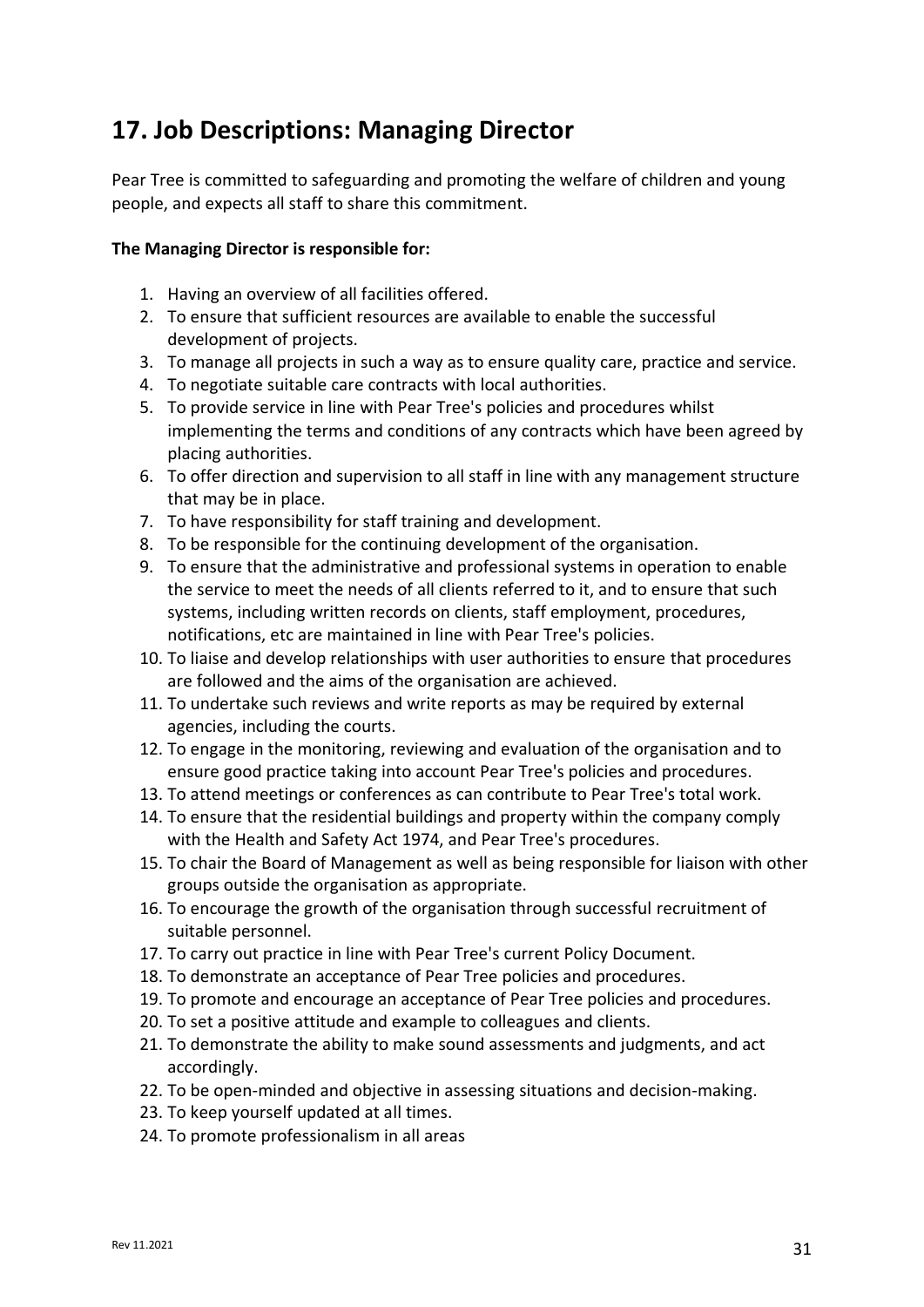### **17. Job Descriptions: Managing Director**

Pear Tree is committed to safeguarding and promoting the welfare of children and young people, and expects all staff to share this commitment.

#### **The Managing Director is responsible for:**

- 1. Having an overview of all facilities offered.
- 2. To ensure that sufficient resources are available to enable the successful development of projects.
- 3. To manage all projects in such a way as to ensure quality care, practice and service.
- 4. To negotiate suitable care contracts with local authorities.
- 5. To provide service in line with Pear Tree's policies and procedures whilst implementing the terms and conditions of any contracts which have been agreed by placing authorities.
- 6. To offer direction and supervision to all staff in line with any management structure that may be in place.
- 7. To have responsibility for staff training and development.
- 8. To be responsible for the continuing development of the organisation.
- 9. To ensure that the administrative and professional systems in operation to enable the service to meet the needs of all clients referred to it, and to ensure that such systems, including written records on clients, staff employment, procedures, notifications, etc are maintained in line with Pear Tree's policies.
- 10. To liaise and develop relationships with user authorities to ensure that procedures are followed and the aims of the organisation are achieved.
- 11. To undertake such reviews and write reports as may be required by external agencies, including the courts.
- 12. To engage in the monitoring, reviewing and evaluation of the organisation and to ensure good practice taking into account Pear Tree's policies and procedures.
- 13. To attend meetings or conferences as can contribute to Pear Tree's total work.
- 14. To ensure that the residential buildings and property within the company comply with the Health and Safety Act 1974, and Pear Tree's procedures.
- 15. To chair the Board of Management as well as being responsible for liaison with other groups outside the organisation as appropriate.
- 16. To encourage the growth of the organisation through successful recruitment of suitable personnel.
- 17. To carry out practice in line with Pear Tree's current Policy Document.
- 18. To demonstrate an acceptance of Pear Tree policies and procedures.
- 19. To promote and encourage an acceptance of Pear Tree policies and procedures.
- 20. To set a positive attitude and example to colleagues and clients.
- 21. To demonstrate the ability to make sound assessments and judgments, and act accordingly.
- 22. To be open-minded and objective in assessing situations and decision-making.
- 23. To keep yourself updated at all times.
- 24. To promote professionalism in all areas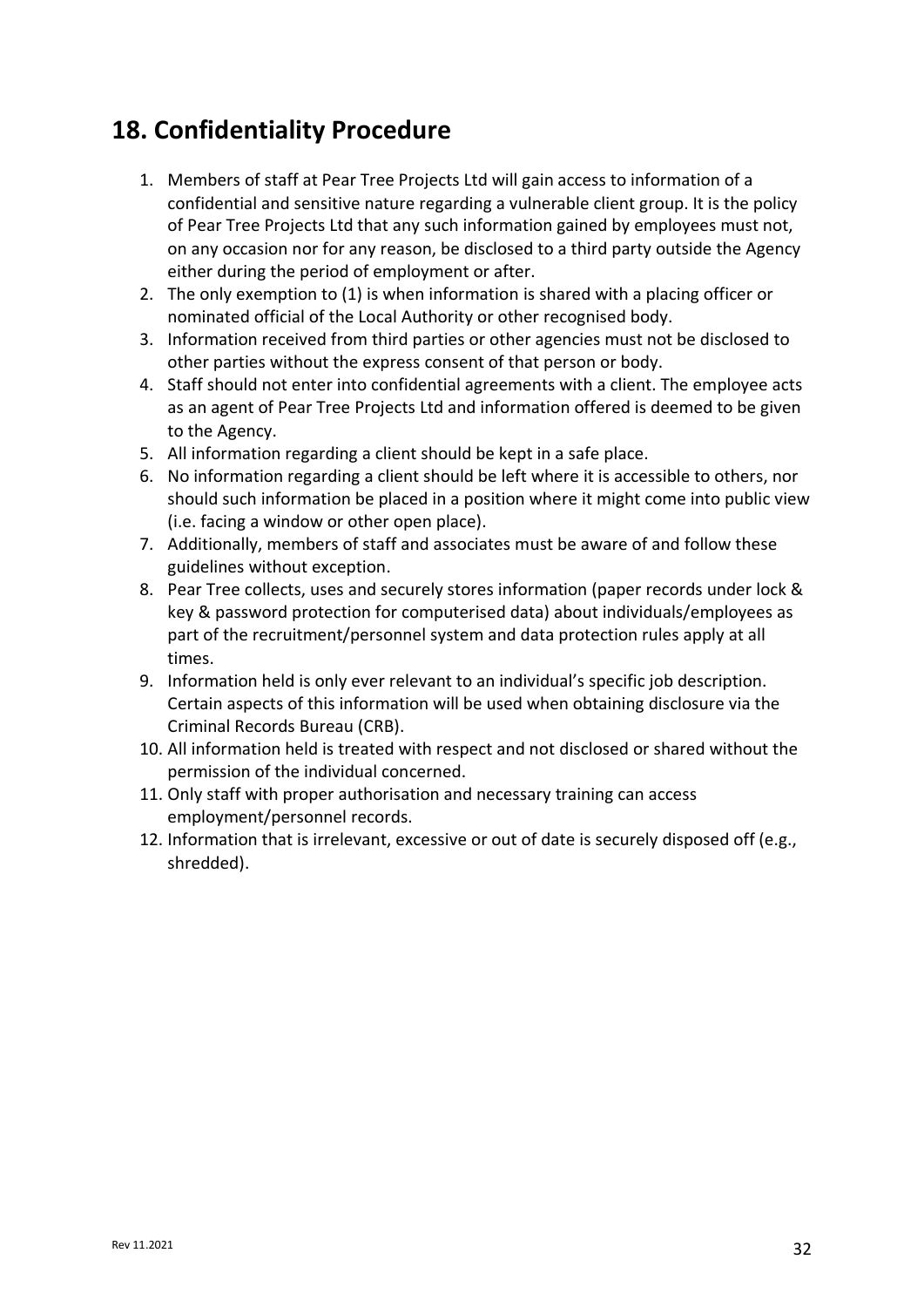### **18. Confidentiality Procedure**

- 1. Members of staff at Pear Tree Projects Ltd will gain access to information of a confidential and sensitive nature regarding a vulnerable client group. It is the policy of Pear Tree Projects Ltd that any such information gained by employees must not, on any occasion nor for any reason, be disclosed to a third party outside the Agency either during the period of employment or after.
- 2. The only exemption to (1) is when information is shared with a placing officer or nominated official of the Local Authority or other recognised body.
- 3. Information received from third parties or other agencies must not be disclosed to other parties without the express consent of that person or body.
- 4. Staff should not enter into confidential agreements with a client. The employee acts as an agent of Pear Tree Projects Ltd and information offered is deemed to be given to the Agency.
- 5. All information regarding a client should be kept in a safe place.
- 6. No information regarding a client should be left where it is accessible to others, nor should such information be placed in a position where it might come into public view (i.e. facing a window or other open place).
- 7. Additionally, members of staff and associates must be aware of and follow these guidelines without exception.
- 8. Pear Tree collects, uses and securely stores information (paper records under lock & key & password protection for computerised data) about individuals/employees as part of the recruitment/personnel system and data protection rules apply at all times.
- 9. Information held is only ever relevant to an individual's specific job description. Certain aspects of this information will be used when obtaining disclosure via the Criminal Records Bureau (CRB).
- 10. All information held is treated with respect and not disclosed or shared without the permission of the individual concerned.
- 11. Only staff with proper authorisation and necessary training can access employment/personnel records.
- 12. Information that is irrelevant, excessive or out of date is securely disposed off (e.g., shredded).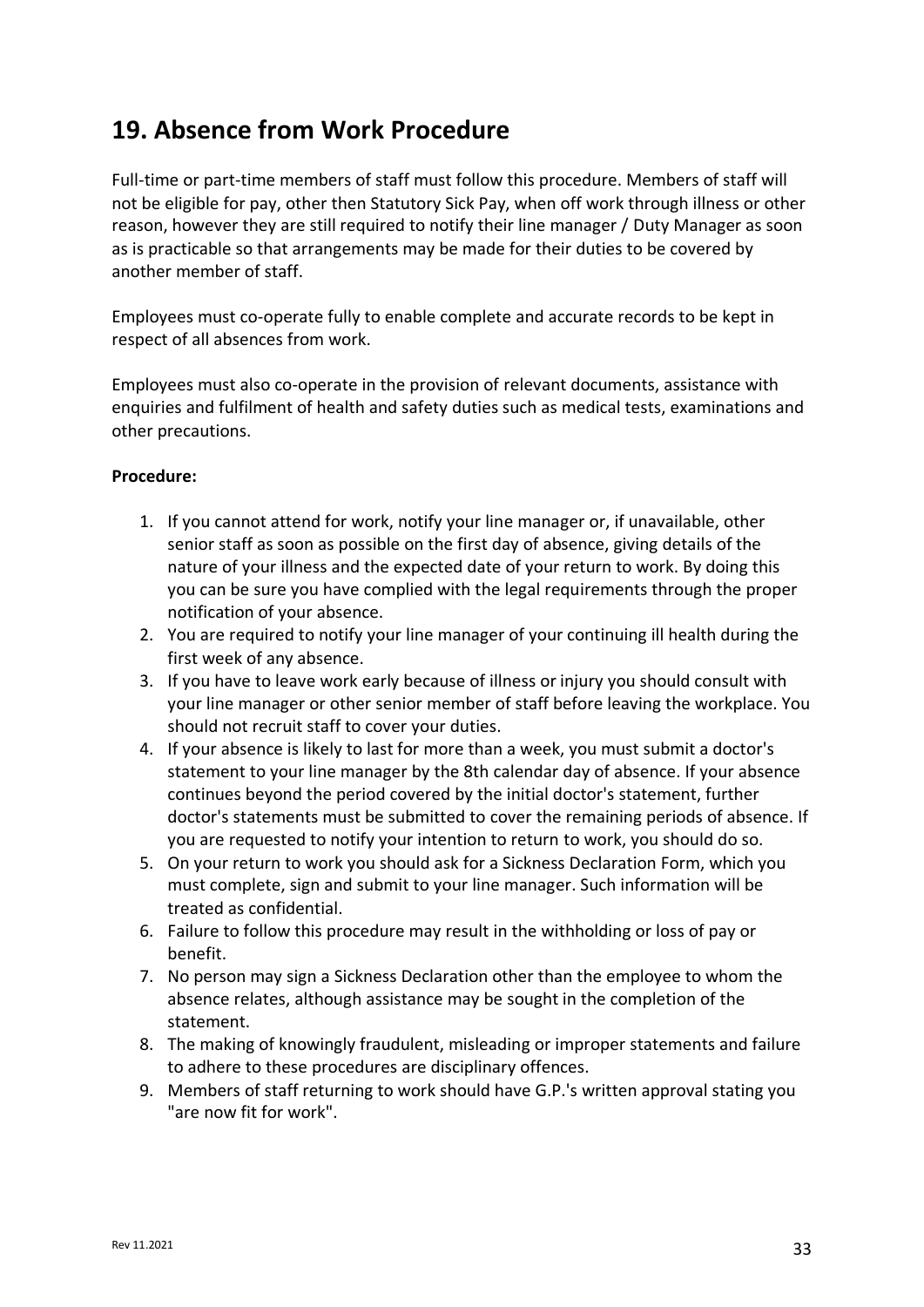## **19. Absence from Work Procedure**

Full-time or part-time members of staff must follow this procedure. Members of staff will not be eligible for pay, other then Statutory Sick Pay, when off work through illness or other reason, however they are still required to notify their line manager / Duty Manager as soon as is practicable so that arrangements may be made for their duties to be covered by another member of staff.

Employees must co-operate fully to enable complete and accurate records to be kept in respect of all absences from work.

Employees must also co-operate in the provision of relevant documents, assistance with enquiries and fulfilment of health and safety duties such as medical tests, examinations and other precautions.

#### **Procedure:**

- 1. If you cannot attend for work, notify your line manager or, if unavailable, other senior staff as soon as possible on the first day of absence, giving details of the nature of your illness and the expected date of your return to work. By doing this you can be sure you have complied with the legal requirements through the proper notification of your absence.
- 2. You are required to notify your line manager of your continuing ill health during the first week of any absence.
- 3. If you have to leave work early because of illness or injury you should consult with your line manager or other senior member of staff before leaving the workplace. You should not recruit staff to cover your duties.
- 4. If your absence is likely to last for more than a week, you must submit a doctor's statement to your line manager by the 8th calendar day of absence. If your absence continues beyond the period covered by the initial doctor's statement, further doctor's statements must be submitted to cover the remaining periods of absence. If you are requested to notify your intention to return to work, you should do so.
- 5. On your return to work you should ask for a Sickness Declaration Form, which you must complete, sign and submit to your line manager. Such information will be treated as confidential.
- 6. Failure to follow this procedure may result in the withholding or loss of pay or benefit.
- 7. No person may sign a Sickness Declaration other than the employee to whom the absence relates, although assistance may be sought in the completion of the statement.
- 8. The making of knowingly fraudulent, misleading or improper statements and failure to adhere to these procedures are disciplinary offences.
- 9. Members of staff returning to work should have G.P.'s written approval stating you "are now fit for work".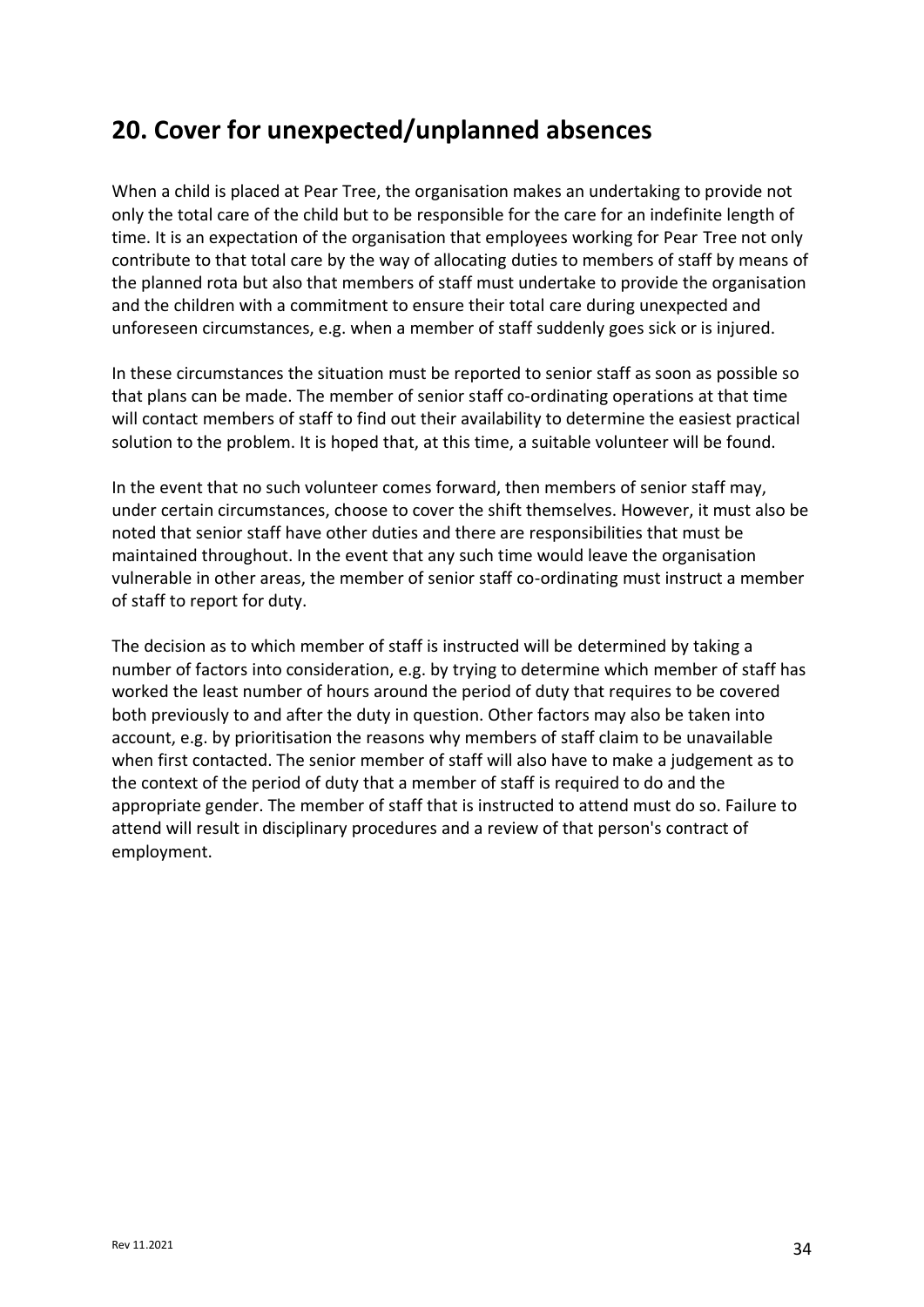## **20. Cover for unexpected/unplanned absences**

When a child is placed at Pear Tree, the organisation makes an undertaking to provide not only the total care of the child but to be responsible for the care for an indefinite length of time. It is an expectation of the organisation that employees working for Pear Tree not only contribute to that total care by the way of allocating duties to members of staff by means of the planned rota but also that members of staff must undertake to provide the organisation and the children with a commitment to ensure their total care during unexpected and unforeseen circumstances, e.g. when a member of staff suddenly goes sick or is injured.

In these circumstances the situation must be reported to senior staff as soon as possible so that plans can be made. The member of senior staff co-ordinating operations at that time will contact members of staff to find out their availability to determine the easiest practical solution to the problem. It is hoped that, at this time, a suitable volunteer will be found.

In the event that no such volunteer comes forward, then members of senior staff may, under certain circumstances, choose to cover the shift themselves. However, it must also be noted that senior staff have other duties and there are responsibilities that must be maintained throughout. In the event that any such time would leave the organisation vulnerable in other areas, the member of senior staff co-ordinating must instruct a member of staff to report for duty.

The decision as to which member of staff is instructed will be determined by taking a number of factors into consideration, e.g. by trying to determine which member of staff has worked the least number of hours around the period of duty that requires to be covered both previously to and after the duty in question. Other factors may also be taken into account, e.g. by prioritisation the reasons why members of staff claim to be unavailable when first contacted. The senior member of staff will also have to make a judgement as to the context of the period of duty that a member of staff is required to do and the appropriate gender. The member of staff that is instructed to attend must do so. Failure to attend will result in disciplinary procedures and a review of that person's contract of employment.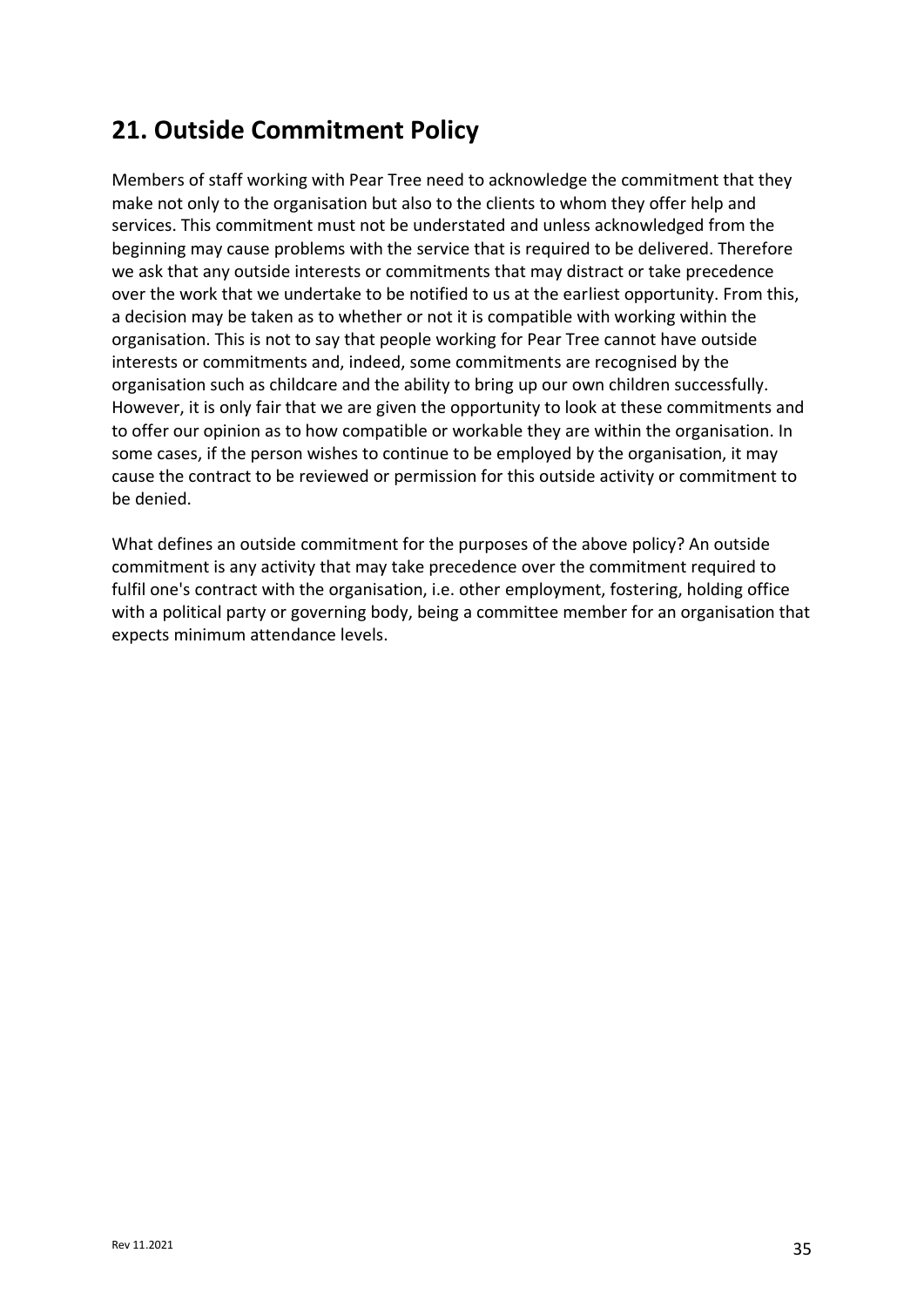# **21. Outside Commitment Policy**

Members of staff working with Pear Tree need to acknowledge the commitment that they make not only to the organisation but also to the clients to whom they offer help and services. This commitment must not be understated and unless acknowledged from the beginning may cause problems with the service that is required to be delivered. Therefore we ask that any outside interests or commitments that may distract or take precedence over the work that we undertake to be notified to us at the earliest opportunity. From this, a decision may be taken as to whether or not it is compatible with working within the organisation. This is not to say that people working for Pear Tree cannot have outside interests or commitments and, indeed, some commitments are recognised by the organisation such as childcare and the ability to bring up our own children successfully. However, it is only fair that we are given the opportunity to look at these commitments and to offer our opinion as to how compatible or workable they are within the organisation. In some cases, if the person wishes to continue to be employed by the organisation, it may cause the contract to be reviewed or permission for this outside activity or commitment to be denied.

What defines an outside commitment for the purposes of the above policy? An outside commitment is any activity that may take precedence over the commitment required to fulfil one's contract with the organisation, i.e. other employment, fostering, holding office with a political party or governing body, being a committee member for an organisation that expects minimum attendance levels.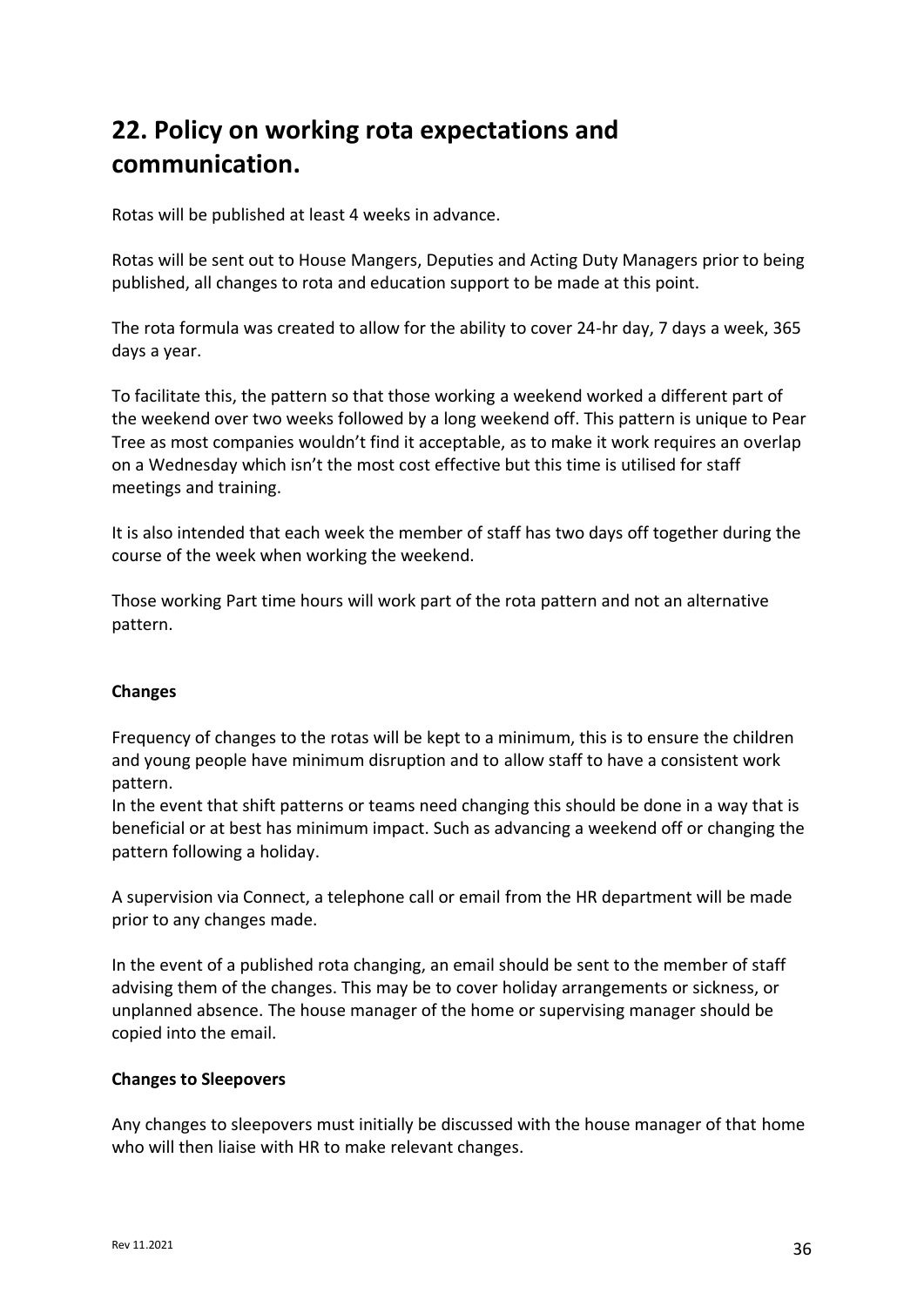# **22. Policy on working rota expectations and communication.**

Rotas will be published at least 4 weeks in advance.

Rotas will be sent out to House Mangers, Deputies and Acting Duty Managers prior to being published, all changes to rota and education support to be made at this point.

The rota formula was created to allow for the ability to cover 24-hr day, 7 days a week, 365 days a year.

To facilitate this, the pattern so that those working a weekend worked a different part of the weekend over two weeks followed by a long weekend off. This pattern is unique to Pear Tree as most companies wouldn't find it acceptable, as to make it work requires an overlap on a Wednesday which isn't the most cost effective but this time is utilised for staff meetings and training.

It is also intended that each week the member of staff has two days off together during the course of the week when working the weekend.

Those working Part time hours will work part of the rota pattern and not an alternative pattern.

### **Changes**

Frequency of changes to the rotas will be kept to a minimum, this is to ensure the children and young people have minimum disruption and to allow staff to have a consistent work pattern.

In the event that shift patterns or teams need changing this should be done in a way that is beneficial or at best has minimum impact. Such as advancing a weekend off or changing the pattern following a holiday.

A supervision via Connect, a telephone call or email from the HR department will be made prior to any changes made.

In the event of a published rota changing, an email should be sent to the member of staff advising them of the changes. This may be to cover holiday arrangements or sickness, or unplanned absence. The house manager of the home or supervising manager should be copied into the email.

### **Changes to Sleepovers**

Any changes to sleepovers must initially be discussed with the house manager of that home who will then liaise with HR to make relevant changes.